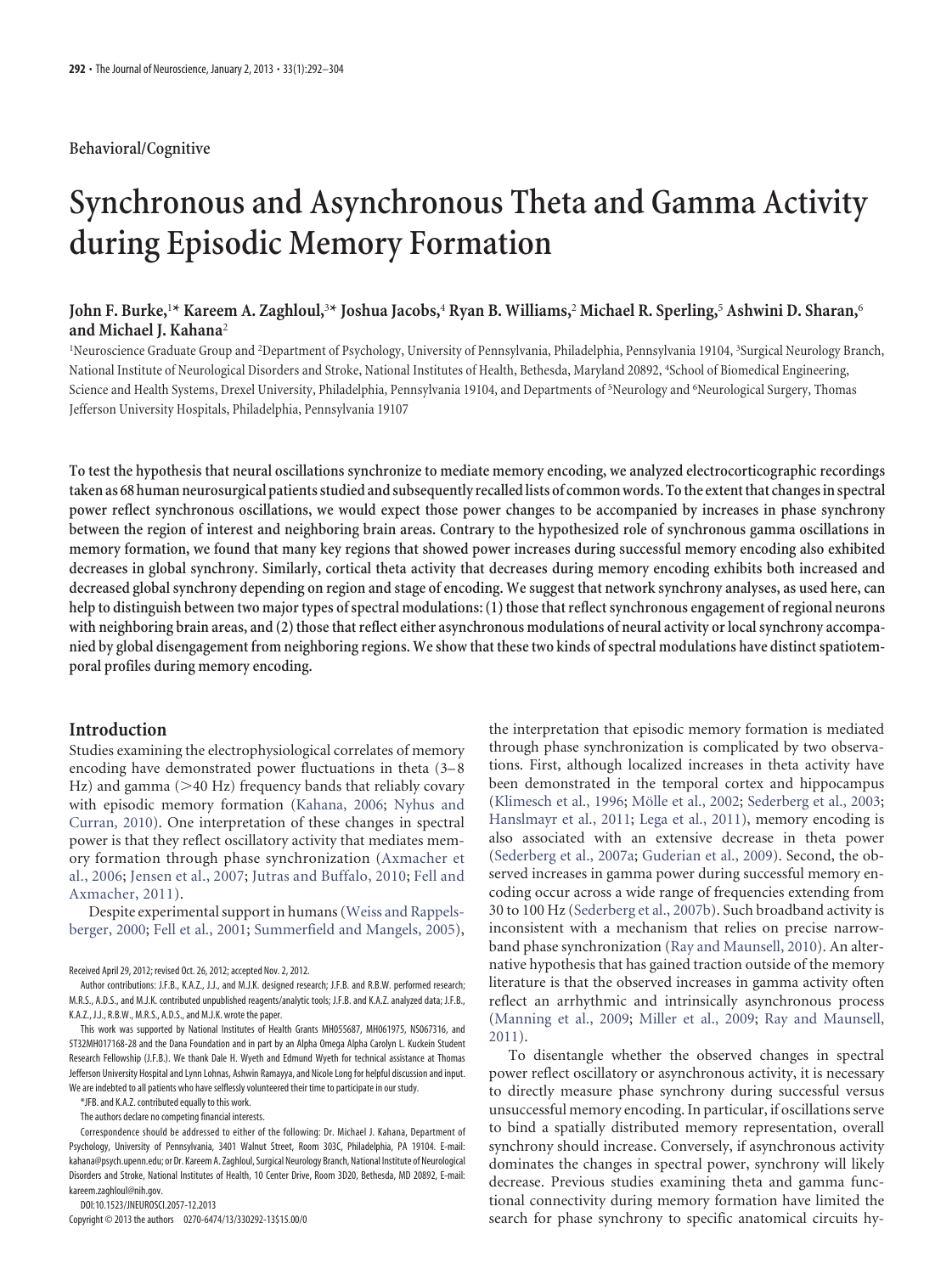## **Behavioral/Cognitive**

# **Synchronous and Asynchronous Theta and Gamma Activity during Episodic Memory Formation**

# **John F. Burke,**<sup>1</sup> **\* Kareem A. Zaghloul,**<sup>3</sup> **\* Joshua Jacobs,**<sup>4</sup> **Ryan B. Williams,**<sup>2</sup> **Michael R. Sperling,**<sup>5</sup> **Ashwini D. Sharan,**<sup>6</sup> **and Michael J. Kahana**<sup>2</sup>

<sup>1</sup>Neuroscience Graduate Group and <sup>2</sup>Department of Psychology, University of Pennsylvania, Philadelphia, Pennsylvania 19104, <sup>3</sup>Surgical Neurology Branch, National Institute of Neurological Disorders and Stroke, National Institutes of Health, Bethesda, Maryland 20892, <sup>4</sup> School of Biomedical Engineering, Science and Health Systems, Drexel University, Philadelphia, Pennsylvania 19104, and Departments of <sup>5</sup>Neurology and <sup>6</sup>Neurological Surgery, Thomas Jefferson University Hospitals, Philadelphia, Pennsylvania 19107

**To test the hypothesis that neural oscillations synchronize to mediate memory encoding, we analyzed electrocorticographic recordings taken as 68 human neurosurgical patients studied and subsequently recalled lists of common words. Tothe extentthat changesin spectral power reflect synchronous oscillations, we would expect those power changes to be accompanied by increases in phase synchrony between the region of interest and neighboring brain areas. Contrary to the hypothesized role of synchronous gamma oscillations in memory formation, we found that many key regions that showed power increases during successful memory encoding also exhibited decreases in global synchrony. Similarly, cortical theta activity that decreases during memory encoding exhibits both increased and decreased global synchrony depending on region and stage of encoding. We suggest that network synchrony analyses, as used here, can help to distinguish between two major types of spectral modulations: (1) those that reflect synchronous engagement of regional neurons with neighboring brain areas, and (2) those that reflect either asynchronous modulations of neural activity or local synchrony accompanied by global disengagement from neighboring regions. We show that these two kinds of spectral modulations have distinct spatiotemporal profiles during memory encoding.**

# **Introduction**

Studies examining the electrophysiological correlates of memory encoding have demonstrated power fluctuations in theta (3–8) Hz) and gamma (>40 Hz) frequency bands that reliably covary with episodic memory formation [\(Kahana, 2006;](#page-12-0) [Nyhus and](#page-12-1) [Curran, 2010\)](#page-12-1). One interpretation of these changes in spectral power is that they reflect oscillatory activity that mediates memory formation through phase synchronization [\(Axmacher et](#page-11-0) [al., 2006;](#page-11-0) [Jensen et al., 2007;](#page-12-2) [Jutras and Buffalo, 2010;](#page-12-3) [Fell and](#page-11-1) [Axmacher, 2011\)](#page-11-1).

Despite experimental support in humans [\(Weiss and Rappels](#page-12-4)[berger, 2000;](#page-12-4) [Fell et al., 2001;](#page-11-2) [Summerfield and Mangels, 2005\)](#page-12-5),

\*JFB. and K.A.Z. contributed equally to this work.

The authors declare no competing financial interests.

Correspondence should be addressed to either of the following: Dr. Michael J. Kahana, Department of Psychology, University of Pennsylvania, 3401 Walnut Street, Room 303C, Philadelphia, PA 19104. E-mail: kahana@psych.upenn.edu; or Dr. Kareem A. Zaghloul, Surgical Neurology Branch, National Institute of Neurological Disorders and Stroke, National Institutes of Health, 10 Center Drive, Room 3D20, Bethesda, MD 20892, E-mail: kareem.zaghloul@nih.gov.

DOI:10.1523/JNEUROSCI.2057-12.2013

Copyright © 2013 the authors 0270-6474/13/330292-13\$15.00/0

the interpretation that episodic memory formation is mediated through phase synchronization is complicated by two observations. First, although localized increases in theta activity have been demonstrated in the temporal cortex and hippocampus [\(Klimesch et al., 1996;](#page-12-6) Mölle et al., 2002; [Sederberg et al., 2003;](#page-12-8) [Hanslmayr et al., 2011;](#page-11-3) [Lega et al., 2011\)](#page-12-9), memory encoding is also associated with an extensive decrease in theta power [\(Sederberg et al., 2007a;](#page-12-10) [Guderian et al., 2009\)](#page-11-4). Second, the observed increases in gamma power during successful memory encoding occur across a wide range of frequencies extending from 30 to 100 Hz [\(Sederberg et al., 2007b\)](#page-12-11). Such broadband activity is inconsistent with a mechanism that relies on precise narrowband phase synchronization [\(Ray and Maunsell, 2010\)](#page-12-12). An alternative hypothesis that has gained traction outside of the memory literature is that the observed increases in gamma activity often reflect an arrhythmic and intrinsically asynchronous process [\(Manning et al., 2009;](#page-12-13) [Miller et al., 2009;](#page-12-14) [Ray and Maunsell,](#page-12-15) [2011\)](#page-12-15).

To disentangle whether the observed changes in spectral power reflect oscillatory or asynchronous activity, it is necessary to directly measure phase synchrony during successful versus unsuccessful memory encoding. In particular, if oscillations serve to bind a spatially distributed memory representation, overall synchrony should increase. Conversely, if asynchronous activity dominates the changes in spectral power, synchrony will likely decrease. Previous studies examining theta and gamma functional connectivity during memory formation have limited the search for phase synchrony to specific anatomical circuits hy-

Received April 29, 2012; revised Oct. 26, 2012; accepted Nov. 2, 2012.

Author contributions: J.F.B., K.A.Z., J.J., and M.J.K. designed research; J.F.B. and R.B.W. performed research; M.R.S., A.D.S., and M.J.K. contributed unpublished reagents/analytic tools; J.F.B. and K.A.Z. analyzed data; J.F.B., K.A.Z., J.J., R.B.W., M.R.S., A.D.S., and M.J.K. wrote the paper.

This work was supported by National Institutes of Health Grants MH055687, MH061975, NS067316, and 5T32MH017168-28 and the Dana Foundation and in part by an Alpha Omega Alpha Carolyn L. Kuckein Student Research Fellowship (J.F.B.). We thank Dale H. Wyeth and Edmund Wyeth for technical assistance at Thomas Jefferson University Hospital and Lynn Lohnas, Ashwin Ramayya, and Nicole Long for helpful discussion and input. We are indebted to all patients who have selflessly volunteered their time to participate in our study.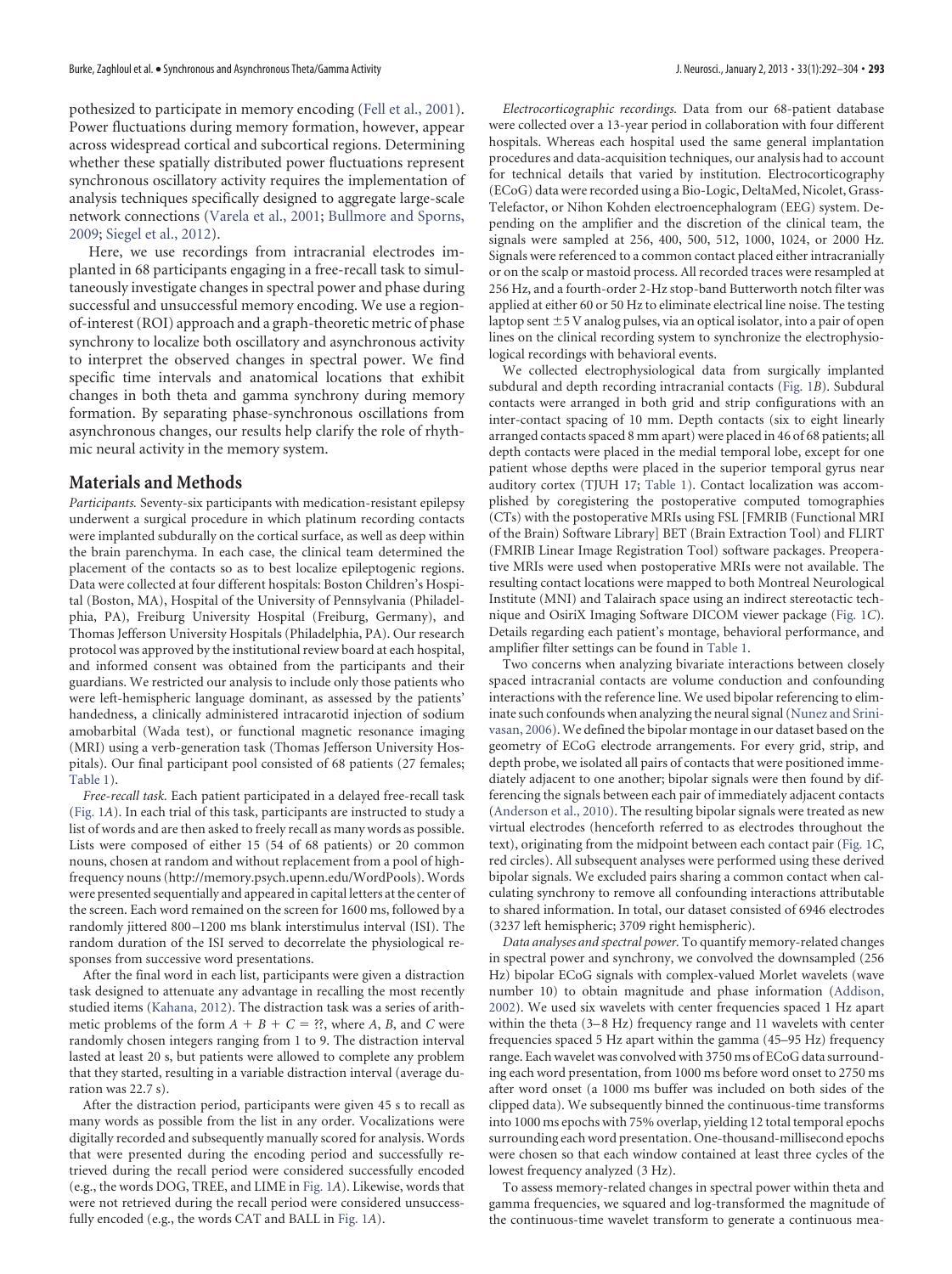<span id="page-1-0"></span>pothesized to participate in memory encoding [\(Fell et al., 2001\)](#page-11-2). Power fluctuations during memory formation, however, appear across widespread cortical and subcortical regions. Determining whether these spatially distributed power fluctuations represent synchronous oscillatory activity requires the implementation of analysis techniques specifically designed to aggregate large-scale network connections [\(Varela et al., 2001;](#page-12-16) [Bullmore and Sporns,](#page-11-5) [2009;](#page-11-5) [Siegel et al., 2012\)](#page-12-17).

Here, we use recordings from intracranial electrodes implanted in 68 participants engaging in a free-recall task to simultaneously investigate changes in spectral power and phase during successful and unsuccessful memory encoding. We use a regionof-interest (ROI) approach and a graph-theoretic metric of phase synchrony to localize both oscillatory and asynchronous activity to interpret the observed changes in spectral power. We find specific time intervals and anatomical locations that exhibit changes in both theta and gamma synchrony during memory formation. By separating phase-synchronous oscillations from asynchronous changes, our results help clarify the role of rhythmic neural activity in the memory system.

## **Materials and Methods**

*Participants.* Seventy-six participants with medication-resistant epilepsy underwent a surgical procedure in which platinum recording contacts were implanted subdurally on the cortical surface, as well as deep within the brain parenchyma. In each case, the clinical team determined the placement of the contacts so as to best localize epileptogenic regions. Data were collected at four different hospitals: Boston Children's Hospital (Boston, MA), Hospital of the University of Pennsylvania (Philadelphia, PA), Freiburg University Hospital (Freiburg, Germany), and Thomas Jefferson University Hospitals (Philadelphia, PA). Our research protocol was approved by the institutional review board at each hospital, and informed consent was obtained from the participants and their guardians. We restricted our analysis to include only those patients who were left-hemispheric language dominant, as assessed by the patients' handedness, a clinically administered intracarotid injection of sodium amobarbital (Wada test), or functional magnetic resonance imaging (MRI) using a verb-generation task (Thomas Jefferson University Hospitals). Our final participant pool consisted of 68 patients (27 females; [Table 1\)](#page-1-0).

*Free-recall task.* Each patient participated in a delayed free-recall task [\(Fig. 1](#page-3-0)*A*). In each trial of this task, participants are instructed to study a list of words and are then asked to freely recall as many words as possible. Lists were composed of either 15 (54 of 68 patients) or 20 common nouns, chosen at random and without replacement from a pool of highfrequency nouns [\(http://memory.psych.upenn.edu/WordPools\)](http://memory.psych.upenn.edu/WordPools). Words were presented sequentially and appeared in capital letters at the center of the screen. Each word remained on the screen for 1600 ms, followed by a randomly jittered 800 –1200 ms blank interstimulus interval (ISI). The random duration of the ISI served to decorrelate the physiological responses from successive word presentations.

After the final word in each list, participants were given a distraction task designed to attenuate any advantage in recalling the most recently studied items [\(Kahana, 2012\)](#page-12-18). The distraction task was a series of arithmetic problems of the form  $A + B + C =$  ??, where *A*, *B*, and *C* were randomly chosen integers ranging from 1 to 9. The distraction interval lasted at least 20 s, but patients were allowed to complete any problem that they started, resulting in a variable distraction interval (average duration was 22.7 s).

After the distraction period, participants were given 45 s to recall as many words as possible from the list in any order. Vocalizations were digitally recorded and subsequently manually scored for analysis. Words that were presented during the encoding period and successfully retrieved during the recall period were considered successfully encoded (e.g., the words DOG, TREE, and LIME in [Fig. 1](#page-3-0)*A*). Likewise, words that were not retrieved during the recall period were considered unsuccessfully encoded (e.g., the words CAT and BALL in [Fig. 1](#page-3-0)*A*).

*Electrocorticographic recordings.* Data from our 68-patient database were collected over a 13-year period in collaboration with four different hospitals. Whereas each hospital used the same general implantation procedures and data-acquisition techniques, our analysis had to account for technical details that varied by institution. Electrocorticography (ECoG) data were recorded using a Bio-Logic, DeltaMed, Nicolet, Grass-Telefactor, or Nihon Kohden electroencephalogram (EEG) system. Depending on the amplifier and the discretion of the clinical team, the signals were sampled at 256, 400, 500, 512, 1000, 1024, or 2000 Hz. Signals were referenced to a common contact placed either intracranially or on the scalp or mastoid process. All recorded traces were resampled at 256 Hz, and a fourth-order 2-Hz stop-band Butterworth notch filter was applied at either 60 or 50 Hz to eliminate electrical line noise. The testing laptop sent  $\pm$  5 V analog pulses, via an optical isolator, into a pair of open lines on the clinical recording system to synchronize the electrophysiological recordings with behavioral events.

We collected electrophysiological data from surgically implanted subdural and depth recording intracranial contacts [\(Fig. 1](#page-3-0)*B*). Subdural contacts were arranged in both grid and strip configurations with an inter-contact spacing of 10 mm. Depth contacts (six to eight linearly arranged contacts spaced 8 mm apart) were placed in 46 of 68 patients; all depth contacts were placed in the medial temporal lobe, except for one patient whose depths were placed in the superior temporal gyrus near auditory cortex (TJUH 17; [Table 1\)](#page-1-0). Contact localization was accomplished by coregistering the postoperative computed tomographies (CTs) with the postoperative MRIs using FSL [FMRIB (Functional MRI of the Brain) Software Library] BET (Brain Extraction Tool) and FLIRT (FMRIB Linear Image Registration Tool) software packages. Preoperative MRIs were used when postoperative MRIs were not available. The resulting contact locations were mapped to both Montreal Neurological Institute (MNI) and Talairach space using an indirect stereotactic technique and OsiriX Imaging Software DICOM viewer package [\(Fig. 1](#page-3-0)*C*). Details regarding each patient's montage, behavioral performance, and amplifier filter settings can be found in [Table 1.](#page-1-0)

Two concerns when analyzing bivariate interactions between closely spaced intracranial contacts are volume conduction and confounding interactions with the reference line. We used bipolar referencing to eliminate such confounds when analyzing the neural signal [\(Nunez and Srini](#page-12-19)[vasan, 2006\)](#page-12-19). We defined the bipolar montage in our dataset based on the geometry of ECoG electrode arrangements. For every grid, strip, and depth probe, we isolated all pairs of contacts that were positioned immediately adjacent to one another; bipolar signals were then found by differencing the signals between each pair of immediately adjacent contacts [\(Anderson et al., 2010\)](#page-11-6). The resulting bipolar signals were treated as new virtual electrodes (henceforth referred to as electrodes throughout the text), originating from the midpoint between each contact pair [\(Fig. 1](#page-3-0)*C*, red circles). All subsequent analyses were performed using these derived bipolar signals. We excluded pairs sharing a common contact when calculating synchrony to remove all confounding interactions attributable to shared information. In total, our dataset consisted of 6946 electrodes (3237 left hemispheric; 3709 right hemispheric).

*Data analyses and spectral power.* To quantify memory-related changes in spectral power and synchrony, we convolved the downsampled (256 Hz) bipolar ECoG signals with complex-valued Morlet wavelets (wave number 10) to obtain magnitude and phase information [\(Addison,](#page-11-7) [2002\)](#page-11-7). We used six wavelets with center frequencies spaced 1 Hz apart within the theta (3-8 Hz) frequency range and 11 wavelets with center frequencies spaced 5 Hz apart within the gamma (45–95 Hz) frequency range. Each wavelet was convolved with 3750 ms of ECoG data surrounding each word presentation, from 1000 ms before word onset to 2750 ms after word onset (a 1000 ms buffer was included on both sides of the clipped data). We subsequently binned the continuous-time transforms into 1000 ms epochs with 75% overlap, yielding 12 total temporal epochs surrounding each word presentation. One-thousand-millisecond epochs were chosen so that each window contained at least three cycles of the lowest frequency analyzed (3 Hz).

To assess memory-related changes in spectral power within theta and gamma frequencies, we squared and log-transformed the magnitude of the continuous-time wavelet transform to generate a continuous mea-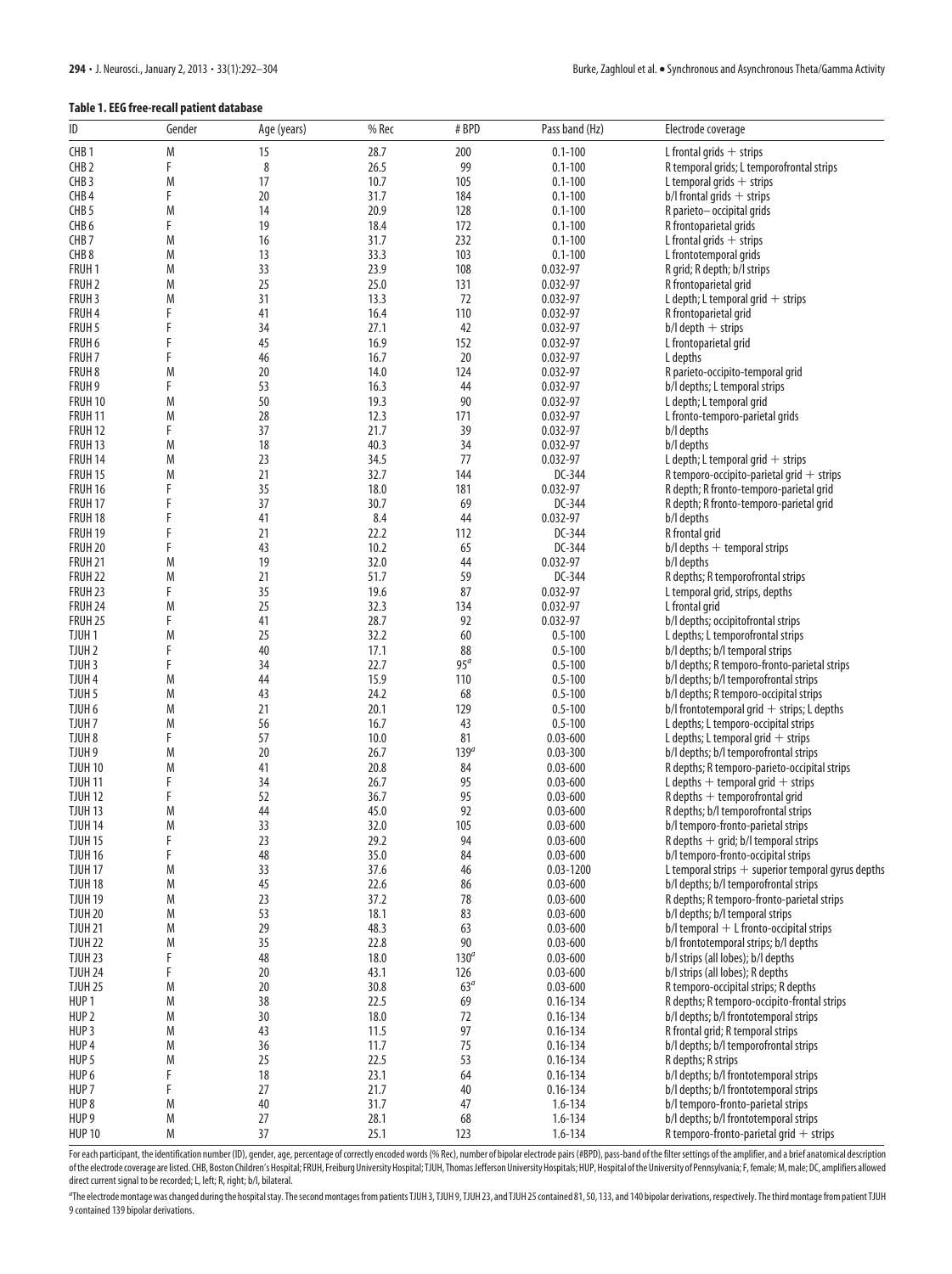#### **Table 1. EEG free-recall patient database**

| ID                                     | Gender | Age (years) | % Rec        | #BPD             | Pass band (Hz)               | Electrode coverage                                                             |
|----------------------------------------|--------|-------------|--------------|------------------|------------------------------|--------------------------------------------------------------------------------|
| CHB <sub>1</sub>                       | M      | 15          | 28.7         | 200              | $0.1 - 100$                  | L frontal grids $+$ strips                                                     |
| CHB <sub>2</sub>                       | F      | 8           | 26.5         | 99               | $0.1 - 100$                  | R temporal grids; L temporofrontal strips                                      |
| CHB <sub>3</sub>                       | M      | 17          | 10.7         | 105              | $0.1 - 100$                  | L temporal grids $+$ strips                                                    |
| CHB <sub>4</sub>                       | F      | 20          | 31.7         | 184              | $0.1 - 100$                  | $b$ /l frontal grids $+$ strips                                                |
| CHB <sub>5</sub>                       | M      | 14          | 20.9         | 128              | $0.1 - 100$                  | R parieto-occipital grids                                                      |
| CHB <sub>6</sub>                       | F      | 19          | 18.4         | 172              | $0.1 - 100$                  | R frontoparietal grids                                                         |
| CHB <sub>7</sub>                       | M      | 16          | 31.7         | 232              | $0.1 - 100$                  | $L$ frontal grids $+$ strips                                                   |
| CHB <sub>8</sub>                       | M      | 13          | 33.3         | 103              | $0.1 - 100$                  | L frontotemporal grids                                                         |
| FRUH <sub>1</sub>                      | M      | 33          | 23.9         | 108              | $0.032 - 97$                 | R grid; R depth; b/l strips                                                    |
| FRUH <sub>2</sub>                      | M      | 25          | 25.0         | 131              | $0.032 - 97$                 | R frontoparietal grid                                                          |
| FRUH <sub>3</sub>                      | M      | 31          | 13.3         | 72               | $0.032 - 97$                 | L depth; L temporal grid $+$ strips                                            |
| FRUH 4                                 | F      | 41          | 16.4         | 110              | 0.032-97                     | R frontoparietal grid                                                          |
| FRUH 5                                 |        | 34          | 27.1         | 42               | 0.032-97                     | $b$ /l depth $+$ strips                                                        |
| FRUH 6                                 | F      | 45          | 16.9         | 152              | 0.032-97                     | L frontoparietal grid                                                          |
| FRUH <sub>7</sub><br>FRUH <sub>8</sub> | M      | 46<br>20    | 16.7<br>14.0 | 20<br>124        | 0.032-97<br>0.032-97         | L depths<br>R parieto-occipito-temporal grid                                   |
| FRUH 9                                 | F      | 53          | 16.3         | 44               | 0.032-97                     | b/l depths; L temporal strips                                                  |
| FRUH 10                                | M      | 50          | 19.3         | 90               | $0.032 - 97$                 | L depth; L temporal grid                                                       |
| <b>FRUH 11</b>                         | M      | 28          | 12.3         | 171              | 0.032-97                     | L fronto-temporo-parietal grids                                                |
| FRUH <sub>12</sub>                     | F      | 37          | 21.7         | 39               | 0.032-97                     | b/l depths                                                                     |
| FRUH <sub>13</sub>                     | M      | 18          | 40.3         | 34               | 0.032-97                     | b/l depths                                                                     |
| FRUH 14                                | M      | 23          | 34.5         | 77               | 0.032-97                     | L depth; L temporal grid $+$ strips                                            |
| <b>FRUH 15</b>                         | M      | 21          | 32.7         | 144              | DC-344                       | R temporo-occipito-parietal grid $+$ strips                                    |
| FRUH 16                                | F      | 35          | 18.0         | 181              | 0.032-97                     | R depth; R fronto-temporo-parietal grid                                        |
| FRUH 17                                |        | 37          | 30.7         | 69               | DC-344                       | R depth; R fronto-temporo-parietal grid                                        |
| FRUH 18                                |        | 41          | 8.4          | 44               | $0.032 - 97$                 | b/l depths                                                                     |
| FRUH 19                                |        | 21          | 22.2         | 112              | DC-344                       | R frontal grid                                                                 |
| FRUH 20                                | F      | 43          | 10.2         | 65               | DC-344                       | $b$ /l depths + temporal strips                                                |
| FRUH 21                                | M      | 19          | 32.0         | 44               | 0.032-97                     | b/l depths                                                                     |
| FRUH 22                                | M      | 21          | 51.7         | 59               | DC-344                       | R depths; R temporofrontal strips                                              |
| <b>FRUH 23</b>                         | F      | 35          | 19.6         | 87               | 0.032-97                     | L temporal grid, strips, depths                                                |
| FRUH 24<br><b>FRUH 25</b>              | Μ<br>F | 25<br>41    | 32.3<br>28.7 | 134<br>92        | 0.032-97<br>0.032-97         | L frontal grid<br>b/l depths; occipitofrontal strips                           |
| TJUH <sub>1</sub>                      | Μ      | 25          | 32.2         | 60               | $0.5 - 100$                  | L depths; L temporofrontal strips                                              |
| TJUH <sub>2</sub>                      | F      | 40          | 17.1         | 88               | $0.5 - 100$                  | b/l depths; b/l temporal strips                                                |
| TJUH <sub>3</sub>                      | F      | 34          | 22.7         | 95 <sup>a</sup>  | $0.5 - 100$                  | b/l depths; R temporo-fronto-parietal strips                                   |
| TJUH <sub>4</sub>                      | M      | 44          | 15.9         | 110              | $0.5 - 100$                  | b/l depths; b/l temporofrontal strips                                          |
| TJUH <sub>5</sub>                      | M      | 43          | 24.2         | 68               | $0.5 - 100$                  | b/l depths; R temporo-occipital strips                                         |
| TJUH 6                                 | M      | 21          | 20.1         | 129              | $0.5 - 100$                  | $b$ /l frontotemporal grid + strips; L depths                                  |
| TJUH <sub>7</sub>                      | M      | 56          | 16.7         | 43               | $0.5 - 100$                  | L depths; L temporo-occipital strips                                           |
| TJUH <sub>8</sub>                      | F      | 57          | 10.0         | 81               | $0.03 - 600$                 | L depths; L temporal grid $+$ strips                                           |
| TJUH 9                                 | M      | 20          | 26.7         | 139 <sup>a</sup> | $0.03 - 300$                 | b/l depths; b/l temporofrontal strips                                          |
| <b>TJUH 10</b>                         | M      | 41          | 20.8         | 84               | $0.03 - 600$                 | R depths; R temporo-parieto-occipital strips                                   |
| <b>TJUH 11</b>                         | F      | 34          | 26.7         | 95               | $0.03 - 600$                 | L depths $+$ temporal grid $+$ strips                                          |
| TJUH <sub>12</sub>                     | F      | 52          | 36.7         | 95               | $0.03 - 600$                 | $R$ depths $+$ temporofrontal grid                                             |
| TJUH <sub>13</sub>                     | Μ      | 44<br>33    | 45.0         | 92               | $0.03 - 600$                 | R depths; b/l temporofrontal strips                                            |
| <b>TJUH 14</b><br>TJUH <sub>15</sub>   | M<br>F | 23          | 32.0<br>29.2 | 105<br>94        | $0.03 - 600$<br>$0.03 - 600$ | b/l temporo-fronto-parietal strips<br>$R$ depths $+$ grid; b/l temporal strips |
| <b>TJUH 16</b>                         | F      | 48          | 35.0         | 84               | $0.03 - 600$                 | b/l temporo-fronto-occipital strips                                            |
| TJUH <sub>17</sub>                     | M      | 33          | 37.6         | 46               | $0.03 - 1200$                | L temporal strips $+$ superior temporal gyrus depths                           |
| <b>TJUH 18</b>                         | M      | $45\,$      | 22.6         | 86               | $0.03 - 600$                 | b/l depths; b/l temporofrontal strips                                          |
| <b>TJUH 19</b>                         | M      | 23          | 37.2         | 78               | $0.03 - 600$                 | R depths; R temporo-fronto-parietal strips                                     |
| <b>TJUH 20</b>                         | M      | 53          | 18.1         | 83               | $0.03 - 600$                 | b/l depths; b/l temporal strips                                                |
| <b>TJUH 21</b>                         | M      | 29          | 48.3         | 63               | $0.03 - 600$                 | $b$ /l temporal + L fronto-occipital strips                                    |
| <b>TJUH 22</b>                         | M      | 35          | 22.8         | 90               | $0.03 - 600$                 | b/l frontotemporal strips; b/l depths                                          |
| TJUH <sub>23</sub>                     | F      | 48          | 18.0         | 130 <sup>a</sup> | $0.03 - 600$                 | b/l strips (all lobes); b/l depths                                             |
| <b>TJUH 24</b>                         | F      | 20          | 43.1         | 126              | $0.03 - 600$                 | b/l strips (all lobes); R depths                                               |
| <b>TJUH 25</b>                         | M      | 20          | 30.8         | 63 <sup>a</sup>  | $0.03 - 600$                 | R temporo-occipital strips; R depths                                           |
| HUP <sub>1</sub>                       | M      | 38          | 22.5         | 69               | $0.16 - 134$                 | R depths; R temporo-occipito-frontal strips                                    |
| HUP <sub>2</sub>                       | M      | 30          | 18.0         | 72               | $0.16 - 134$                 | b/l depths; b/l frontotemporal strips                                          |
| HUP <sub>3</sub>                       | M      | 43          | 11.5         | 97               | $0.16 - 134$                 | R frontal grid; R temporal strips                                              |
| HUP 4<br>HUP <sub>5</sub>              | M<br>M | 36<br>25    | 11.7<br>22.5 | 75               | $0.16 - 134$<br>$0.16 - 134$ | b/l depths; b/l temporofrontal strips<br>R depths; R strips                    |
| HUP 6                                  | F      | 18          | 23.1         | 53<br>64         | $0.16 - 134$                 | b/l depths; b/l frontotemporal strips                                          |
| HUP <sub>7</sub>                       | F      | 27          | 21.7         | 40               | $0.16 - 134$                 | b/l depths; b/l frontotemporal strips                                          |
| HUP <sub>8</sub>                       | M      | 40          | 31.7         | 47               | $1.6 - 134$                  | b/l temporo-fronto-parietal strips                                             |
| HUP <sub>9</sub>                       | M      | 27          | 28.1         | 68               | $1.6 - 134$                  | b/l depths; b/l frontotemporal strips                                          |
| <b>HUP 10</b>                          | M      | 37          | 25.1         | 123              | $1.6 - 134$                  | R temporo-fronto-parietal grid $+$ strips                                      |

For each participant, the identification number (ID), gender, age, percentage of correctly encoded words (% Rec), number of bipolar electrode pairs (#BPD), pass-band of the filter settings of the amplifier, and a brief ana of the electrode coverage are listed. CHB, Boston Children's Hospital; FRUH, Freiburg University Hospital; TJUH, Thomas Jefferson University Hospitals; HUP, Hospital of the University of Pennsylvania; F, female; M, male; D direct current signal to be recorded; L, left; R, right; b/l, bilateral.

The electrode montage was changed during the hospital stay. The second montages from patients TJUH 3, TJUH 9, TJUH 23, and TJUH 25 contained 81, 50, 133, and 140 bipolar derivations, respectively. The third montage from pa 9 contained 139 bipolar derivations.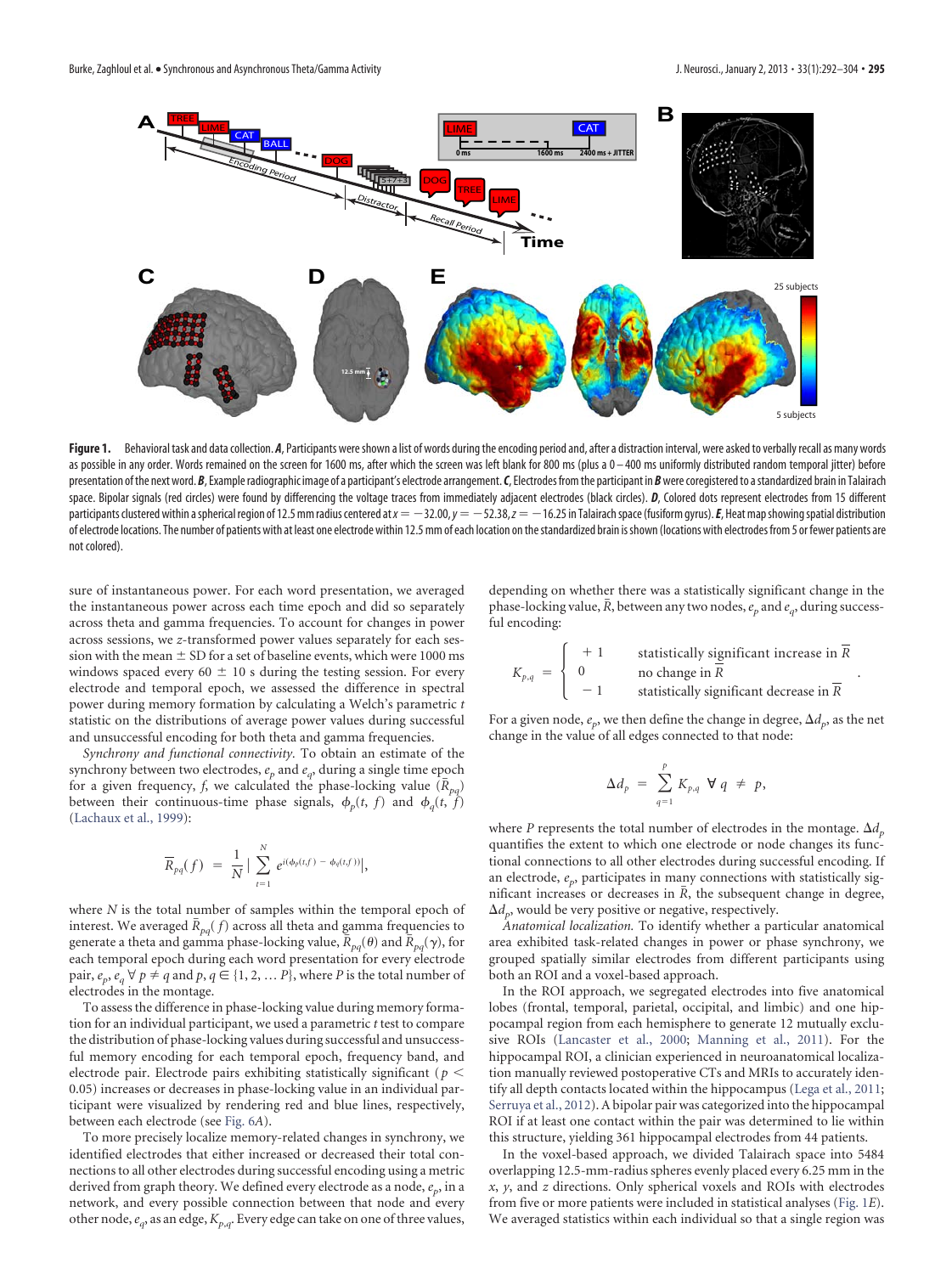

<span id="page-3-0"></span>Figure 1. Behavioral task and data collection. *A*, Participants were shown a list of words during the encoding period and, after a distraction interval, were asked to verbally recall as many words as possible in any order. Words remained on the screen for 1600 ms, after which the screen was left blank for 800 ms (plus a 0 - 400 ms uniformly distributed random temporal jitter) before presentation of the next word. *B*, Example radiographic image of a participant's electrode arrangement. *C*, Electrodes from the participant in *B* were coregistered to a standardized brain in Talairach space. Bipolar signals (red circles) were found by differencing the voltage traces from immediately adjacent electrodes (black circles). *D*, Colored dots represent electrodes from 15 different participants clustered within a spherical region of 12.5 mm radius centered at  $x = -32.00$ ,  $y = -52.38$ ,  $z = -16.25$  in Talairach space (fusiform gyrus). *E*, Heat map showing spatial distribution of electrode locations. The number of patients with at least one electrode within 12.5 mm of each location on thestandardized brain isshown (locations with electrodes from 5 or fewer patients are not colored).

sure of instantaneous power. For each word presentation, we averaged the instantaneous power across each time epoch and did so separately across theta and gamma frequencies. To account for changes in power across sessions, we *z*-transformed power values separately for each session with the mean  $\pm$  SD for a set of baseline events, which were 1000 ms windows spaced every 60  $\pm$  10 s during the testing session. For every electrode and temporal epoch, we assessed the difference in spectral power during memory formation by calculating a Welch's parametric *t* statistic on the distributions of average power values during successful and unsuccessful encoding for both theta and gamma frequencies.

*Synchrony and functional connectivity.* To obtain an estimate of the synchrony between two electrodes,  $e_p$  and  $e_q$ , during a single time epoch for a given frequency, *f*, we calculated the phase-locking value  $(R_{pa})$ between their continuous-time phase signals,  $\phi_n(t, f)$  and  $\phi_a(t, f)$ [\(Lachaux et al., 1999\)](#page-12-20):

$$
\overline{R}_{pq}(f) = \frac{1}{N} \left| \sum_{t=1}^{N} e^{i(\phi_p(t,f) - \phi_q(t,f))} \right|,
$$

where *N* is the total number of samples within the temporal epoch of interest. We averaged  $\bar{R}_{pq}(f)$  across all theta and gamma frequencies to generate a theta and gamma phase-locking value,  $\bar{R}_{pq}(\theta)$  and  $\bar{R}_{pq}(\gamma)$ , for each temporal epoch during each word presentation for every electrode pair,  $e_p$ ,  $e_q \forall p \neq q$  and  $p, q \in \{1, 2, \dots P\}$ , where *P* is the total number of electrodes in the montage.

To assess the difference in phase-locking value during memory formation for an individual participant, we used a parametric *t* test to compare the distribution of phase-locking values during successful and unsuccessful memory encoding for each temporal epoch, frequency band, and electrode pair. Electrode pairs exhibiting statistically significant (*p* 0.05) increases or decreases in phase-locking value in an individual participant were visualized by rendering red and blue lines, respectively, between each electrode (see Fig. 6*A*).

To more precisely localize memory-related changes in synchrony, we identified electrodes that either increased or decreased their total connections to all other electrodes during successful encoding using a metric derived from graph theory. We defined every electrode as a node,  $e_p$ , in a network, and every possible connection between that node and every other node,*eq*, as an edge,*Kp*,*q*. Every edge can take on one of three values, depending on whether there was a statistically significant change in the phase-locking value, *R*, between any two nodes,*ep* and *eq*, during successful encoding:

$$
K_{p,q} = \begin{cases} +1 & \text{statistically significant increase in } \overline{R} \\ 0 & \text{no change in } \overline{R} \\ -1 & \text{statistically significant decrease in } \overline{R} \end{cases}
$$

.

For a given node,  $e_p$ , we then define the change in degree,  $\Delta d_p$ , as the net change in the value of all edges connected to that node:

$$
\Delta d_p = \sum_{q=1}^p K_{p,q} \ \forall q \neq p,
$$

where *P* represents the total number of electrodes in the montage.  $\Delta d_p$ quantifies the extent to which one electrode or node changes its functional connections to all other electrodes during successful encoding. If an electrode,  $e_p$ , participates in many connections with statistically significant increases or decreases in *R*, the subsequent change in degree,  $\Delta d_p$ , would be very positive or negative, respectively.

*Anatomical localization.* To identify whether a particular anatomical area exhibited task-related changes in power or phase synchrony, we grouped spatially similar electrodes from different participants using both an ROI and a voxel-based approach.

In the ROI approach, we segregated electrodes into five anatomical lobes (frontal, temporal, parietal, occipital, and limbic) and one hippocampal region from each hemisphere to generate 12 mutually exclusive ROIs [\(Lancaster et al., 2000;](#page-12-21) [Manning et al., 2011\)](#page-12-22). For the hippocampal ROI, a clinician experienced in neuroanatomical localization manually reviewed postoperative CTs and MRIs to accurately identify all depth contacts located within the hippocampus [\(Lega et al., 2011;](#page-12-9) [Serruya et al., 2012\)](#page-12-23). A bipolar pair was categorized into the hippocampal ROI if at least one contact within the pair was determined to lie within this structure, yielding 361 hippocampal electrodes from 44 patients.

In the voxel-based approach, we divided Talairach space into 5484 overlapping 12.5-mm-radius spheres evenly placed every 6.25 mm in the *x*, *y*, and *z* directions. Only spherical voxels and ROIs with electrodes from five or more patients were included in statistical analyses [\(Fig. 1](#page-3-0)*E*). We averaged statistics within each individual so that a single region was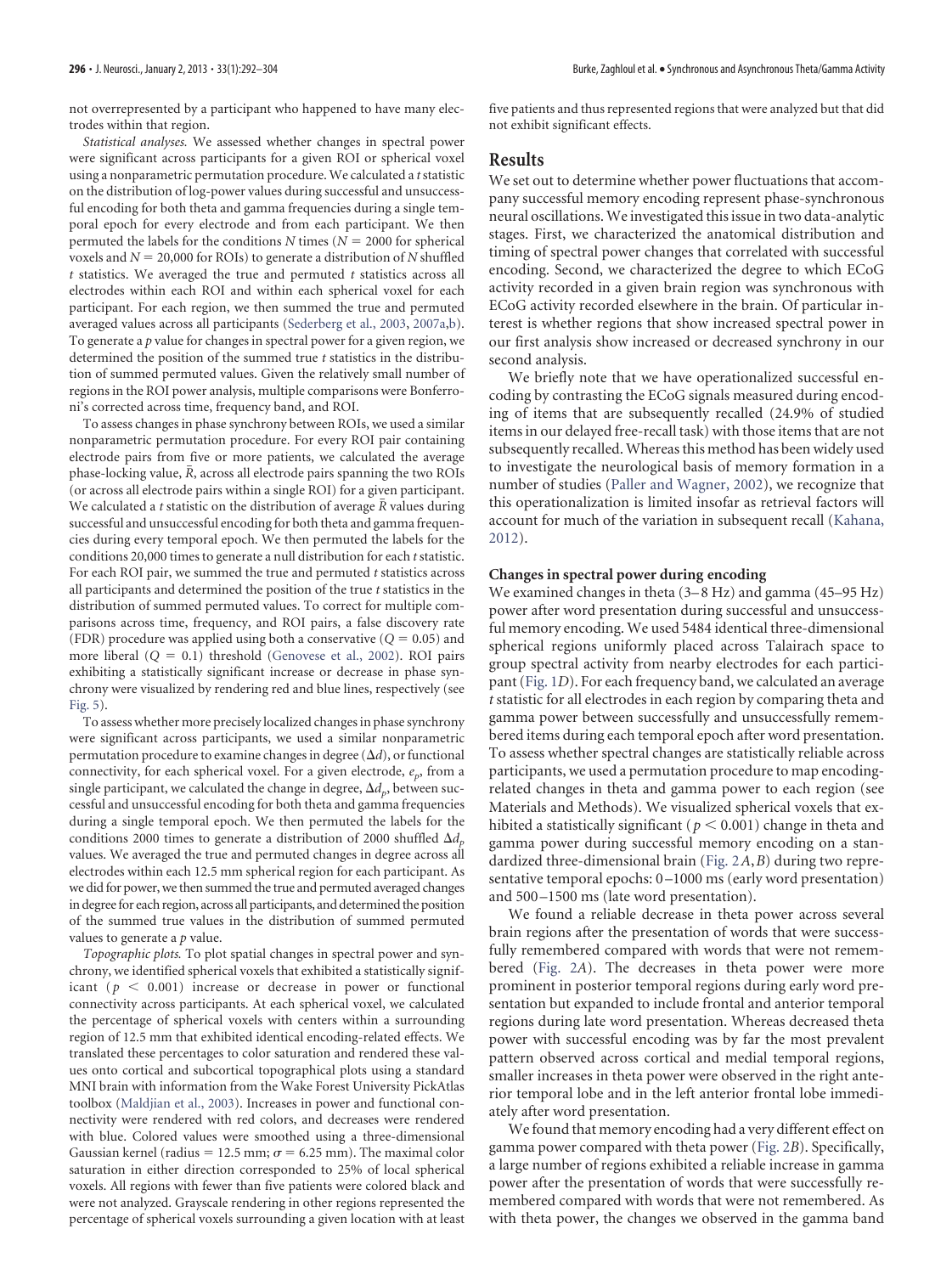not overrepresented by a participant who happened to have many electrodes within that region.

*Statistical analyses.* We assessed whether changes in spectral power were significant across participants for a given ROI or spherical voxel using a nonparametric permutation procedure. We calculated a *t*statistic on the distribution of log-power values during successful and unsuccessful encoding for both theta and gamma frequencies during a single temporal epoch for every electrode and from each participant. We then permuted the labels for the conditions  $N$  times ( $N = 2000$  for spherical voxels and  $N = 20,000$  for ROIs) to generate a distribution of  $N$  shuffled *t* statistics. We averaged the true and permuted *t* statistics across all electrodes within each ROI and within each spherical voxel for each participant. For each region, we then summed the true and permuted averaged values across all participants [\(Sederberg et al., 2003,](#page-12-8) [2007a,](#page-12-10)[b\)](#page-12-11). To generate a *p* value for changes in spectral power for a given region, we determined the position of the summed true *t* statistics in the distribution of summed permuted values. Given the relatively small number of regions in the ROI power analysis, multiple comparisons were Bonferroni's corrected across time, frequency band, and ROI.

To assess changes in phase synchrony between ROIs, we used a similar nonparametric permutation procedure. For every ROI pair containing electrode pairs from five or more patients, we calculated the average phase-locking value, *R*, across all electrode pairs spanning the two ROIs (or across all electrode pairs within a single ROI) for a given participant. We calculated a *t* statistic on the distribution of average *R* values during successful and unsuccessful encoding for both theta and gamma frequencies during every temporal epoch. We then permuted the labels for the conditions 20,000 times to generate a null distribution for each *t* statistic. For each ROI pair, we summed the true and permuted *t* statistics across all participants and determined the position of the true *t* statistics in the distribution of summed permuted values. To correct for multiple comparisons across time, frequency, and ROI pairs, a false discovery rate (FDR) procedure was applied using both a conservative  $(Q = 0.05)$  and more liberal  $(Q = 0.1)$  threshold [\(Genovese et al., 2002\)](#page-11-8). ROI pairs exhibiting a statistically significant increase or decrease in phase synchrony were visualized by rendering red and blue lines, respectively (see [Fig. 5\)](#page-7-0).

To assess whether more precisely localized changes in phase synchrony were significant across participants, we used a similar nonparametric permutation procedure to examine changes in degree  $(\Delta d)$ , or functional connectivity, for each spherical voxel. For a given electrode,  $e_p$ , from a single participant, we calculated the change in degree,  $\Delta d_{p}^{}$ , between successful and unsuccessful encoding for both theta and gamma frequencies during a single temporal epoch. We then permuted the labels for the conditions 2000 times to generate a distribution of 2000 shuffled  $\Delta d_{p}$ values. We averaged the true and permuted changes in degree across all electrodes within each 12.5 mm spherical region for each participant. As we did for power, we then summed the true and permuted averaged changes in degree for each region, across all participants, and determined the position of the summed true values in the distribution of summed permuted values to generate a *p* value.

*Topographic plots.* To plot spatial changes in spectral power and synchrony, we identified spherical voxels that exhibited a statistically significant ( $p < 0.001$ ) increase or decrease in power or functional connectivity across participants. At each spherical voxel, we calculated the percentage of spherical voxels with centers within a surrounding region of 12.5 mm that exhibited identical encoding-related effects. We translated these percentages to color saturation and rendered these values onto cortical and subcortical topographical plots using a standard MNI brain with information from the Wake Forest University PickAtlas toolbox [\(Maldjian et al., 2003\)](#page-12-24). Increases in power and functional connectivity were rendered with red colors, and decreases were rendered with blue. Colored values were smoothed using a three-dimensional Gaussian kernel (radius = 12.5 mm;  $\sigma$  = 6.25 mm). The maximal color saturation in either direction corresponded to 25% of local spherical voxels. All regions with fewer than five patients were colored black and were not analyzed. Grayscale rendering in other regions represented the percentage of spherical voxels surrounding a given location with at least

five patients and thus represented regions that were analyzed but that did not exhibit significant effects.

#### **Results**

We set out to determine whether power fluctuations that accompany successful memory encoding represent phase-synchronous neural oscillations. We investigated this issue in two data-analytic stages. First, we characterized the anatomical distribution and timing of spectral power changes that correlated with successful encoding. Second, we characterized the degree to which ECoG activity recorded in a given brain region was synchronous with ECoG activity recorded elsewhere in the brain. Of particular interest is whether regions that show increased spectral power in our first analysis show increased or decreased synchrony in our second analysis.

We briefly note that we have operationalized successful encoding by contrasting the ECoG signals measured during encoding of items that are subsequently recalled (24.9% of studied items in our delayed free-recall task) with those items that are not subsequently recalled. Whereas this method has been widely used to investigate the neurological basis of memory formation in a number of studies [\(Paller and Wagner, 2002\)](#page-12-25), we recognize that this operationalization is limited insofar as retrieval factors will account for much of the variation in subsequent recall [\(Kahana,](#page-12-18) [2012\)](#page-12-18).

#### **Changes in spectral power during encoding**

We examined changes in theta (3-8 Hz) and gamma (45-95 Hz) power after word presentation during successful and unsuccessful memory encoding. We used 5484 identical three-dimensional spherical regions uniformly placed across Talairach space to group spectral activity from nearby electrodes for each participant [\(Fig. 1](#page-3-0)*D*). For each frequency band, we calculated an average *t* statistic for all electrodes in each region by comparing theta and gamma power between successfully and unsuccessfully remembered items during each temporal epoch after word presentation. To assess whether spectral changes are statistically reliable across participants, we used a permutation procedure to map encodingrelated changes in theta and gamma power to each region (see Materials and Methods). We visualized spherical voxels that exhibited a statistically significant ( $p \le 0.001$ ) change in theta and gamma power during successful memory encoding on a standardized three-dimensional brain [\(Fig. 2](#page-5-0)*A*,*B*) during two representative temporal epochs: 0 –1000 ms (early word presentation) and 500-1500 ms (late word presentation).

We found a reliable decrease in theta power across several brain regions after the presentation of words that were successfully remembered compared with words that were not remembered [\(Fig. 2](#page-5-0)*A*). The decreases in theta power were more prominent in posterior temporal regions during early word presentation but expanded to include frontal and anterior temporal regions during late word presentation. Whereas decreased theta power with successful encoding was by far the most prevalent pattern observed across cortical and medial temporal regions, smaller increases in theta power were observed in the right anterior temporal lobe and in the left anterior frontal lobe immediately after word presentation.

We found that memory encoding had a very different effect on gamma power compared with theta power [\(Fig. 2](#page-5-0)*B*). Specifically, a large number of regions exhibited a reliable increase in gamma power after the presentation of words that were successfully remembered compared with words that were not remembered. As with theta power, the changes we observed in the gamma band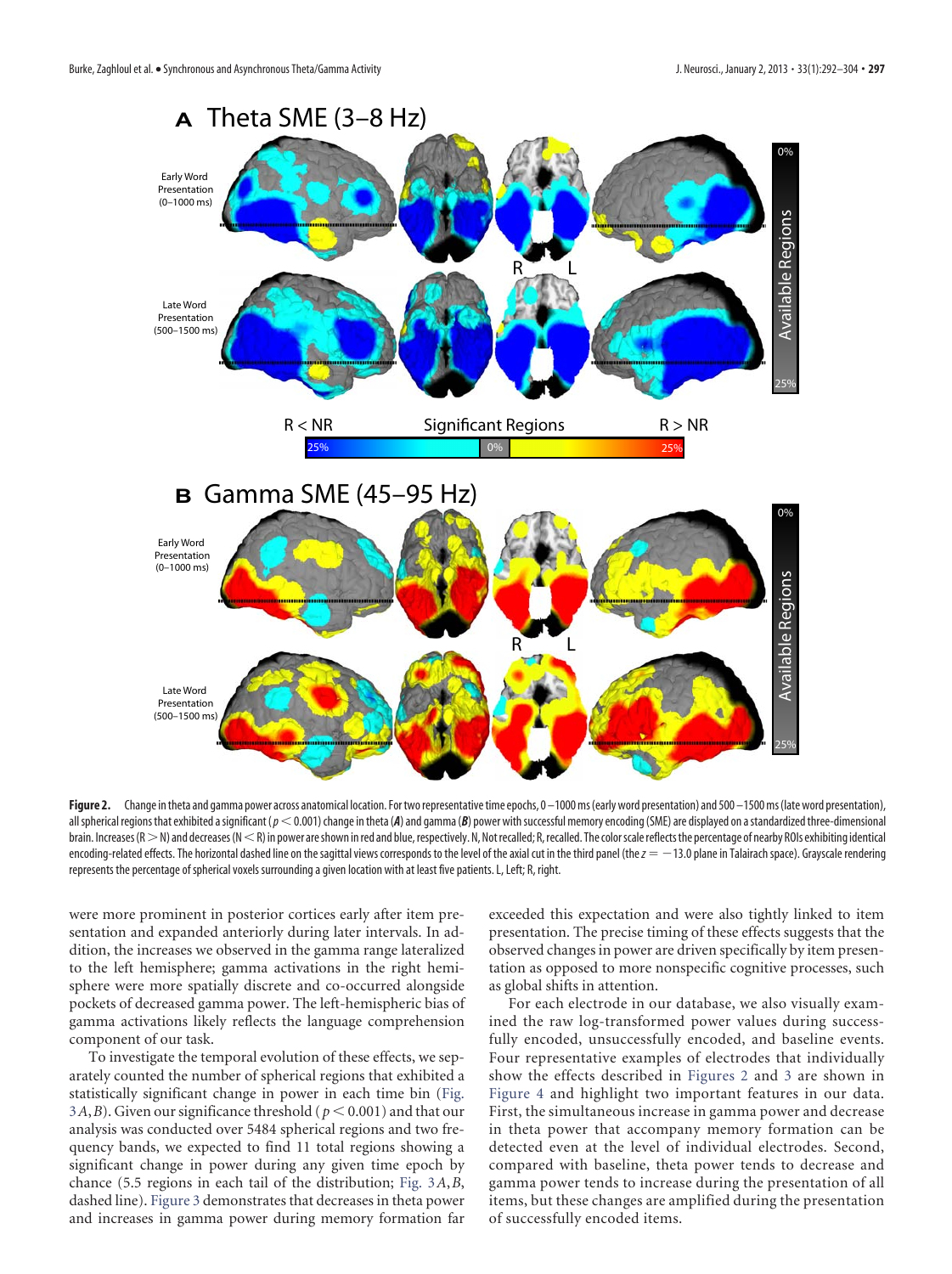

<span id="page-5-0"></span>Figure 2. Change in theta and gamma power across anatomical location. For two representative time epochs, 0 –1000 ms (early word presentation) and 500 –1500 ms (late word presentation), all spherical regions that exhibited a significant ( $p < 0.001$ ) change in theta (A) and gamma (B) power with successful memory encoding (SME) are displayed on a standardized three-dimensional brain. Increases (R  $>$  N) and decreases (N  $<$  R) in power are shown in red and blue, respectively. N, Not recalled; R, recalled. The color scale reflects the percentage of nearby ROIs exhibiting identical encoding-related effects. The horizontal dashed line on the sagittal views corresponds to the level of the axial cut in the third panel (the  $z = -13.0$  plane in Talairach space). Grayscale rendering represents the percentage of spherical voxels surrounding a given location with at least five patients. L, Left; R, right.

were more prominent in posterior cortices early after item presentation and expanded anteriorly during later intervals. In addition, the increases we observed in the gamma range lateralized to the left hemisphere; gamma activations in the right hemisphere were more spatially discrete and co-occurred alongside pockets of decreased gamma power. The left-hemispheric bias of gamma activations likely reflects the language comprehension component of our task.

To investigate the temporal evolution of these effects, we separately counted the number of spherical regions that exhibited a statistically significant change in power in each time bin [\(Fig.](#page-6-0) [3](#page-6-0)*A*,*B*). Given our significance threshold ( $p \le 0.001$ ) and that our analysis was conducted over 5484 spherical regions and two frequency bands, we expected to find 11 total regions showing a significant change in power during any given time epoch by chance (5.5 regions in each tail of the distribution; [Fig. 3](#page-6-0)*A*,*B*, dashed line). [Figure 3](#page-6-0) demonstrates that decreases in theta power and increases in gamma power during memory formation far exceeded this expectation and were also tightly linked to item presentation. The precise timing of these effects suggests that the observed changes in power are driven specifically by item presentation as opposed to more nonspecific cognitive processes, such as global shifts in attention.

For each electrode in our database, we also visually examined the raw log-transformed power values during successfully encoded, unsuccessfully encoded, and baseline events. Four representative examples of electrodes that individually show the effects described in [Figures 2](#page-5-0) and [3](#page-6-0) are shown in [Figure 4](#page-6-1) and highlight two important features in our data. First, the simultaneous increase in gamma power and decrease in theta power that accompany memory formation can be detected even at the level of individual electrodes. Second, compared with baseline, theta power tends to decrease and gamma power tends to increase during the presentation of all items, but these changes are amplified during the presentation of successfully encoded items.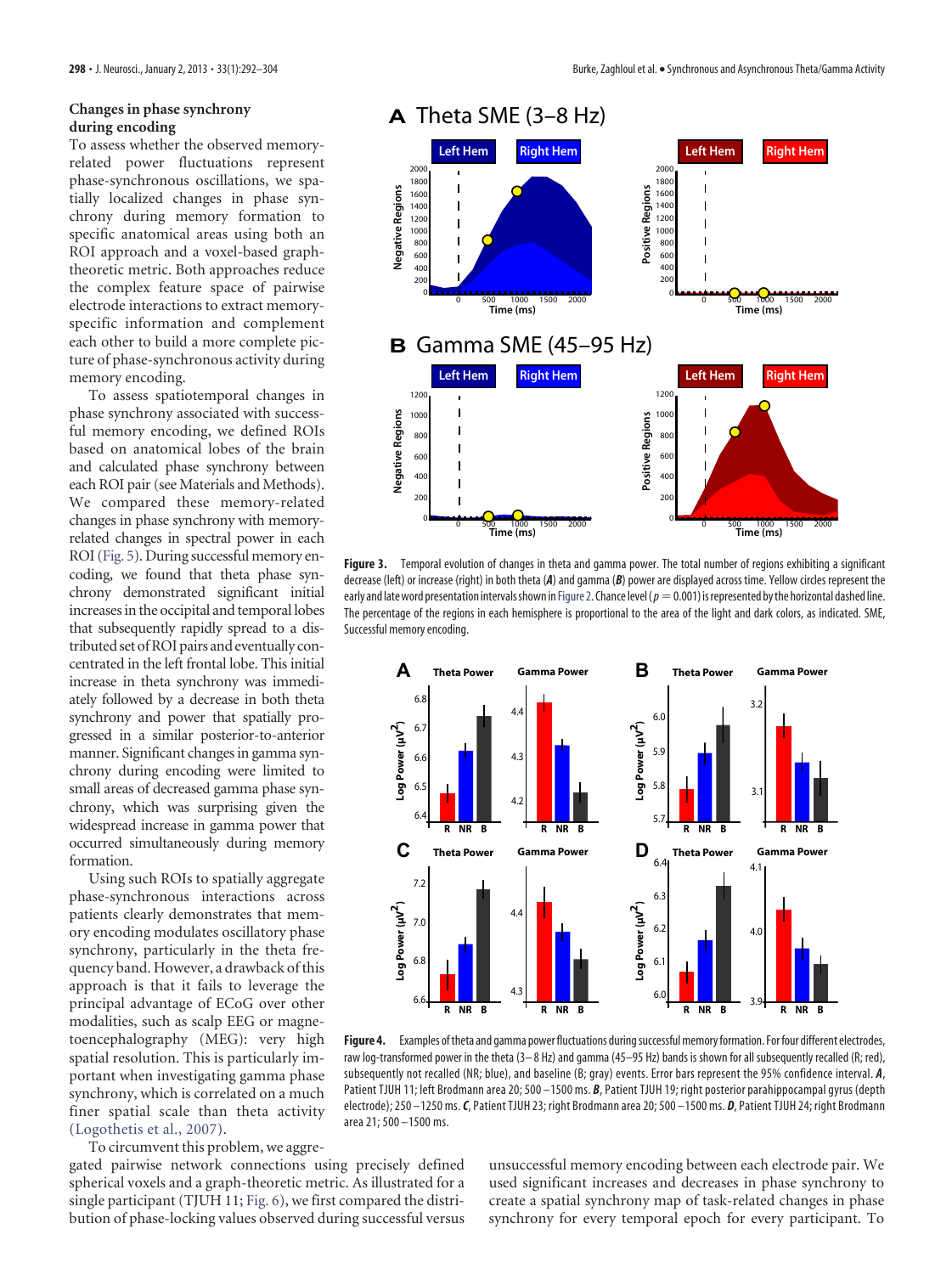# **Changes in phase synchrony during encoding**

To assess whether the observed memoryrelated power fluctuations represent phase-synchronous oscillations, we spatially localized changes in phase synchrony during memory formation to specific anatomical areas using both an ROI approach and a voxel-based graphtheoretic metric. Both approaches reduce the complex feature space of pairwise electrode interactions to extract memoryspecific information and complement each other to build a more complete picture of phase-synchronous activity during memory encoding.

To assess spatiotemporal changes in phase synchrony associated with successful memory encoding, we defined ROIs based on anatomical lobes of the brain and calculated phase synchrony between each ROI pair (see Materials and Methods). We compared these memory-related changes in phase synchrony with memoryrelated changes in spectral power in each ROI [\(Fig. 5\)](#page-7-0). During successful memory encoding, we found that theta phase synchrony demonstrated significant initial increases in the occipital and temporal lobes that subsequently rapidly spread to a distributed set of ROI pairs and eventually concentrated in the left frontal lobe. This initial increase in theta synchrony was immediately followed by a decrease in both theta synchrony and power that spatially progressed in a similar posterior-to-anterior manner. Significant changes in gamma synchrony during encoding were limited to small areas of decreased gamma phase synchrony, which was surprising given the widespread increase in gamma power that occurred simultaneously during memory formation.

Using such ROIs to spatially aggregate phase-synchronous interactions across patients clearly demonstrates that memory encoding modulates oscillatory phase synchrony, particularly in the theta frequency band. However, a drawback of this approach is that it fails to leverage the principal advantage of ECoG over other modalities, such as scalp EEG or magnetoencephalography (MEG): very high spatial resolution. This is particularly important when investigating gamma phase synchrony, which is correlated on a much finer spatial scale than theta activity [\(Logothetis et al., 2007\)](#page-12-26).

To circumvent this problem, we aggre-

gated pairwise network connections using precisely defined spherical voxels and a graph-theoretic metric. As illustrated for a single participant (TJUH 11; Fig. 6), we first compared the distribution of phase-locking values observed during successful versus



<span id="page-6-0"></span>**Figure 3.** Temporal evolution of changes in theta and gamma power. The total number of regions exhibiting a significant decrease (left) or increase (right) in both theta (*A*) and gamma (*B*) power are displayed across time. Yellow circles represent the early and late word presentation intervals shown in [Figure 2.](#page-5-0) Chance level ( $p=0.001$ ) is represented by the horizontal dashed line. The percentage of the regions in each hemisphere is proportional to the area of the light and dark colors, as indicated. SME, Successful memory encoding.



<span id="page-6-1"></span>Figure 4. Examples of theta and gamma power fluctuations during successful memory formation. For four different electrodes, raw log-transformed power in the theta (3–8 Hz) and gamma (45–95 Hz) bands is shown for all subsequently recalled (R; red), subsequently not recalled (NR; blue), and baseline (B; gray) events. Error bars represent the 95% confidence interval. *A*, Patient TJUH 11; left Brodmann area 20; 500 –1500 ms. *B*, Patient TJUH 19; right posterior parahippocampal gyrus (depth electrode); 250 –1250 ms.*C*, Patient TJUH 23; right Brodmann area 20; 500 –1500 ms. *D*, Patient TJUH 24; right Brodmann area 21; 500 –1500 ms.

unsuccessful memory encoding between each electrode pair. We used significant increases and decreases in phase synchrony to create a spatial synchrony map of task-related changes in phase synchrony for every temporal epoch for every participant. To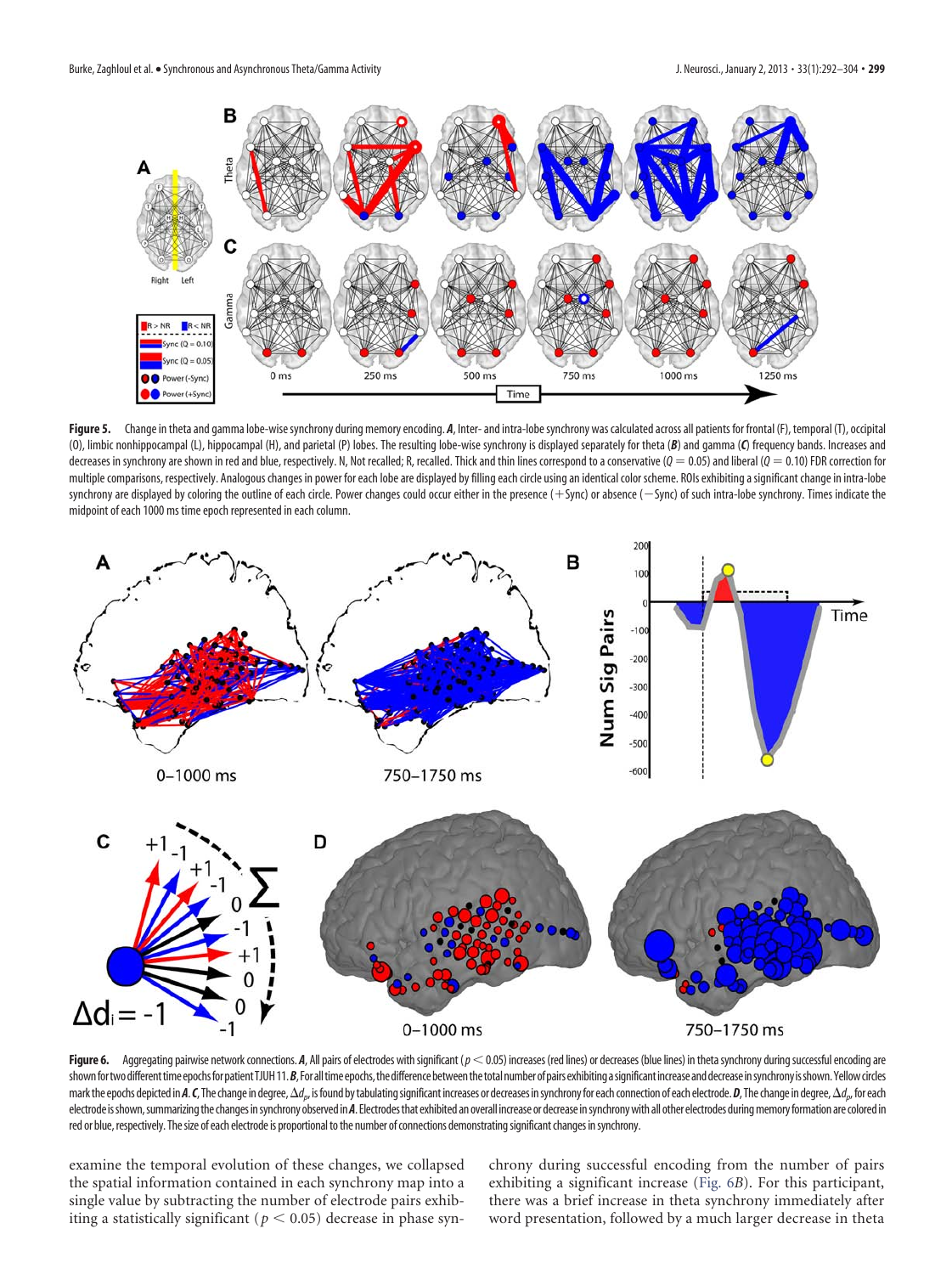

<span id="page-7-0"></span>Figure 5. Change in theta and gamma lobe-wise synchrony during memory encoding. *A*, Inter- and intra-lobe synchrony was calculated across all patients for frontal (F), temporal (T), occipital (O), limbic nonhippocampal (L), hippocampal (H), and parietal (P) lobes. The resulting lobe-wise synchrony is displayed separately for theta (*B*) and gamma (*C*) frequency bands. Increases and decreases in synchrony are shown in red and blue, respectively. N, Not recalled; R, recalled. Thick and thin lines correspond to a conservative ( $Q = 0.05$ ) and liberal ( $Q = 0.10$ ) FDR correction for multiple comparisons, respectively. Analogous changes in power for each lobe are displayed by filling each circle using an identical color scheme. ROIs exhibiting a significant change in intra-lobe synchrony are displayed by coloring the outline of each circle. Power changes could occur either in the presence (+Sync) or absence (—Sync) of such intra-lobe synchrony. Times indicate the midpoint of each 1000 ms time epoch represented in each column.



Figure 6. Aggregating pairwise network connections. *A*, All pairs of electrodes with significant ( $p < 0.05$ ) increases (red lines) or decreases (blue lines) in theta synchrony during successful encoding are shown for two different time epochs for patient TJUH11. B, For all time epochs, the difference between the total number of pairs exhibiting a significant increase and decrease in synchrony is shown. Yellow circles mark the epochs depicted in **A. C**, The change in degree,  $\Delta d_{\rho}$ , is found by tabulating significant increases or decreases in synchrony for each connection of each electrode. **D**, The change in degree,  $\Delta d_{\rho}$ , for electrode is shown, summarizing the changes in synchrony observed in A. Electrodes that exhibited an overall increase or decrease in synchrony with all other electrodes during memory formation are colored in red or blue, respectively. The size of each electrode is proportional to the number of connections demonstrating significant changes in synchrony.

examine the temporal evolution of these changes, we collapsed the spatial information contained in each synchrony map into a single value by subtracting the number of electrode pairs exhibiting a statistically significant ( $p < 0.05$ ) decrease in phase synchrony during successful encoding from the number of pairs exhibiting a significant increase (Fig. 6*B*). For this participant, there was a brief increase in theta synchrony immediately after word presentation, followed by a much larger decrease in theta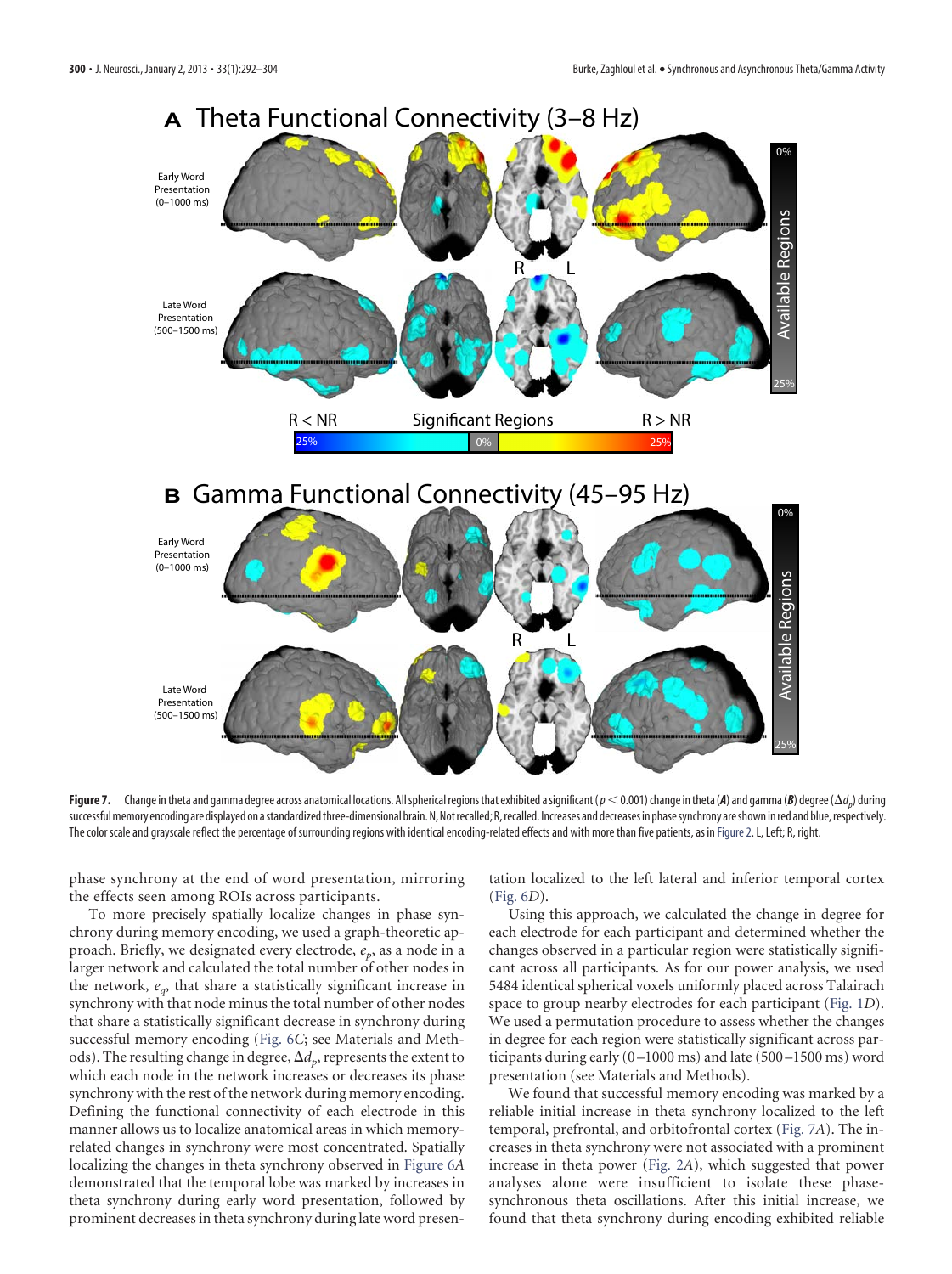

<span id="page-8-0"></span>**Figure 7.** Change in theta and gamma degree across anatomical locations. All spherical regions that exhibited a significant ( $p$   $<$  0.001) change in theta (**A**) and gamma (*B*) degree ( $\Delta d_{p}$ ) during successful memory encoding are displayed on a standardized three-dimensional brain. N, Not recalled; R, recalled. Increases and decreases in phase synchrony are shown in red and blue, respectively. The color scale and grayscale reflect the percentage of surrounding regions with identical encoding-related effects and with more than five patients, as in [Figure 2.](#page-5-0) L, Left; R, right.

phase synchrony at the end of word presentation, mirroring the effects seen among ROIs across participants.

To more precisely spatially localize changes in phase synchrony during memory encoding, we used a graph-theoretic approach. Briefly, we designated every electrode,  $e_p$ , as a node in a larger network and calculated the total number of other nodes in the network,  $e_{q}$ , that share a statistically significant increase in synchrony with that node minus the total number of other nodes that share a statistically significant decrease in synchrony during successful memory encoding (Fig. 6*C*; see Materials and Methods). The resulting change in degree,  $\Delta d_p$ , represents the extent to which each node in the network increases or decreases its phase synchrony with the rest of the network during memory encoding. Defining the functional connectivity of each electrode in this manner allows us to localize anatomical areas in which memoryrelated changes in synchrony were most concentrated. Spatially localizing the changes in theta synchrony observed in Figure 6*A* demonstrated that the temporal lobe was marked by increases in theta synchrony during early word presentation, followed by prominent decreases in theta synchrony during late word presentation localized to the left lateral and inferior temporal cortex (Fig. 6*D*).

Using this approach, we calculated the change in degree for each electrode for each participant and determined whether the changes observed in a particular region were statistically significant across all participants. As for our power analysis, we used 5484 identical spherical voxels uniformly placed across Talairach space to group nearby electrodes for each participant [\(Fig. 1](#page-3-0)*D*). We used a permutation procedure to assess whether the changes in degree for each region were statistically significant across participants during early (0 –1000 ms) and late (500 –1500 ms) word presentation (see Materials and Methods).

We found that successful memory encoding was marked by a reliable initial increase in theta synchrony localized to the left temporal, prefrontal, and orbitofrontal cortex [\(Fig. 7](#page-8-0)*A*). The increases in theta synchrony were not associated with a prominent increase in theta power [\(Fig. 2](#page-5-0)*A*), which suggested that power analyses alone were insufficient to isolate these phasesynchronous theta oscillations. After this initial increase, we found that theta synchrony during encoding exhibited reliable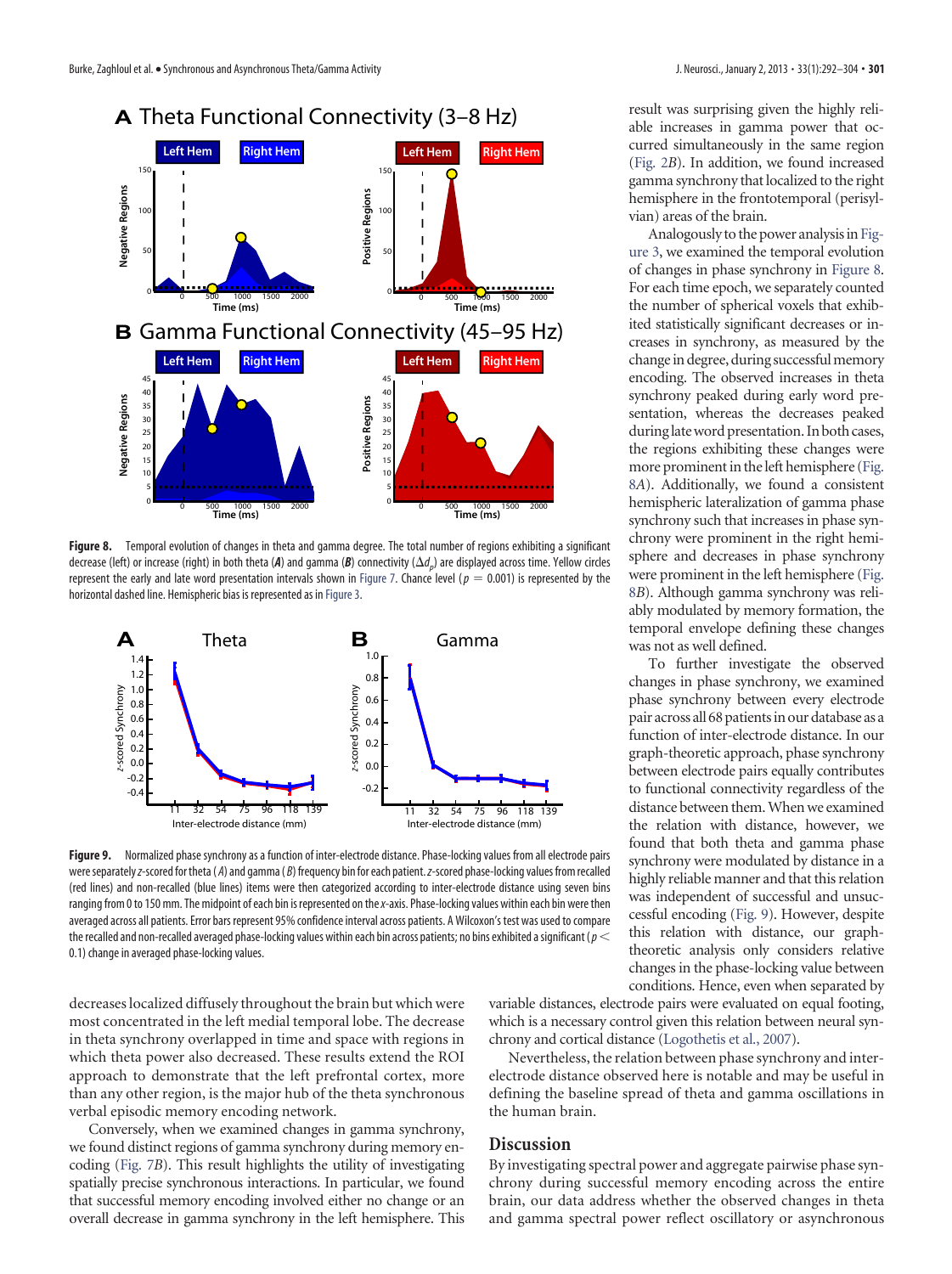

**Figure 8.** Temporal evolution of changes in theta and gamma degree. The total number of regions exhibiting a significant decrease (left) or increase (right) in both theta (*A*) and gamma (*B*) connectivity ( *dp*) are displayed across time. Yellow circles represent the early and late word presentation intervals shown in [Figure 7.](#page-8-0) Chance level ( $p = 0.001$ ) is represented by the horizontal dashed line. Hemispheric bias is represented as in [Figure 3.](#page-6-0)



**Figure 9.** Normalized phase synchrony as a function of inter-electrode distance. Phase-locking values from all electrode pairs wereseparately*z*-scored for theta ( *A*) and gamma ( *B*) frequency bin for each patient.*z*-scored phase-locking values from recalled (red lines) and non-recalled (blue lines) items were then categorized according to inter-electrode distance using seven bins ranging from 0 to 150 mm. The midpoint of each bin is represented on the*x*-axis. Phase-locking values within each bin were then averaged across all patients. Error bars represent 95% confidence interval across patients. A Wilcoxon's test was used to compare the recalled and non-recalled averaged phase-locking values within each bin across patients; no bins exhibited asignificant (*p* 0.1) change in averaged phase-locking values.

decreases localized diffusely throughout the brain but which were most concentrated in the left medial temporal lobe. The decrease in theta synchrony overlapped in time and space with regions in which theta power also decreased. These results extend the ROI approach to demonstrate that the left prefrontal cortex, more than any other region, is the major hub of the theta synchronous verbal episodic memory encoding network.

Conversely, when we examined changes in gamma synchrony, we found distinct regions of gamma synchrony during memory encoding [\(Fig. 7](#page-8-0)*B*). This result highlights the utility of investigating spatially precise synchronous interactions. In particular, we found that successful memory encoding involved either no change or an overall decrease in gamma synchrony in the left hemisphere. This result was surprising given the highly reliable increases in gamma power that occurred simultaneously in the same region [\(Fig. 2](#page-5-0)*B*). In addition, we found increased gamma synchrony that localized to the right hemisphere in the frontotemporal (perisylvian) areas of the brain.

Analogously to the power analysis in [Fig](#page-6-0)[ure 3,](#page-6-0) we examined the temporal evolution of changes in phase synchrony in Figure 8. For each time epoch, we separately counted the number of spherical voxels that exhibited statistically significant decreases or increases in synchrony, as measured by the change in degree, during successful memory encoding. The observed increases in theta synchrony peaked during early word presentation, whereas the decreases peaked duringlateword presentation. In both cases, the regions exhibiting these changes were more prominent in the left hemisphere (Fig. 8*A*). Additionally, we found a consistent hemispheric lateralization of gamma phase synchrony such that increases in phase synchrony were prominent in the right hemisphere and decreases in phase synchrony were prominent in the left hemisphere (Fig. 8*B*). Although gamma synchrony was reliably modulated by memory formation, the temporal envelope defining these changes was not as well defined.

To further investigate the observed changes in phase synchrony, we examined phase synchrony between every electrode pair across all 68 patients in our database as a function of inter-electrode distance. In our graph-theoretic approach, phase synchrony between electrode pairs equally contributes to functional connectivity regardless of the distance between them.When we examined the relation with distance, however, we found that both theta and gamma phase synchrony were modulated by distance in a highly reliable manner and that this relation was independent of successful and unsuccessful encoding (Fig. 9). However, despite this relation with distance, our graphtheoretic analysis only considers relative changes in the phase-locking value between conditions. Hence, even when separated by

variable distances, electrode pairs were evaluated on equal footing, which is a necessary control given this relation between neural synchrony and cortical distance [\(Logothetis et al., 2007\)](#page-12-26).

Nevertheless, the relation between phase synchrony and interelectrode distance observed here is notable and may be useful in defining the baseline spread of theta and gamma oscillations in the human brain.

## **Discussion**

By investigating spectral power and aggregate pairwise phase synchrony during successful memory encoding across the entire brain, our data address whether the observed changes in theta and gamma spectral power reflect oscillatory or asynchronous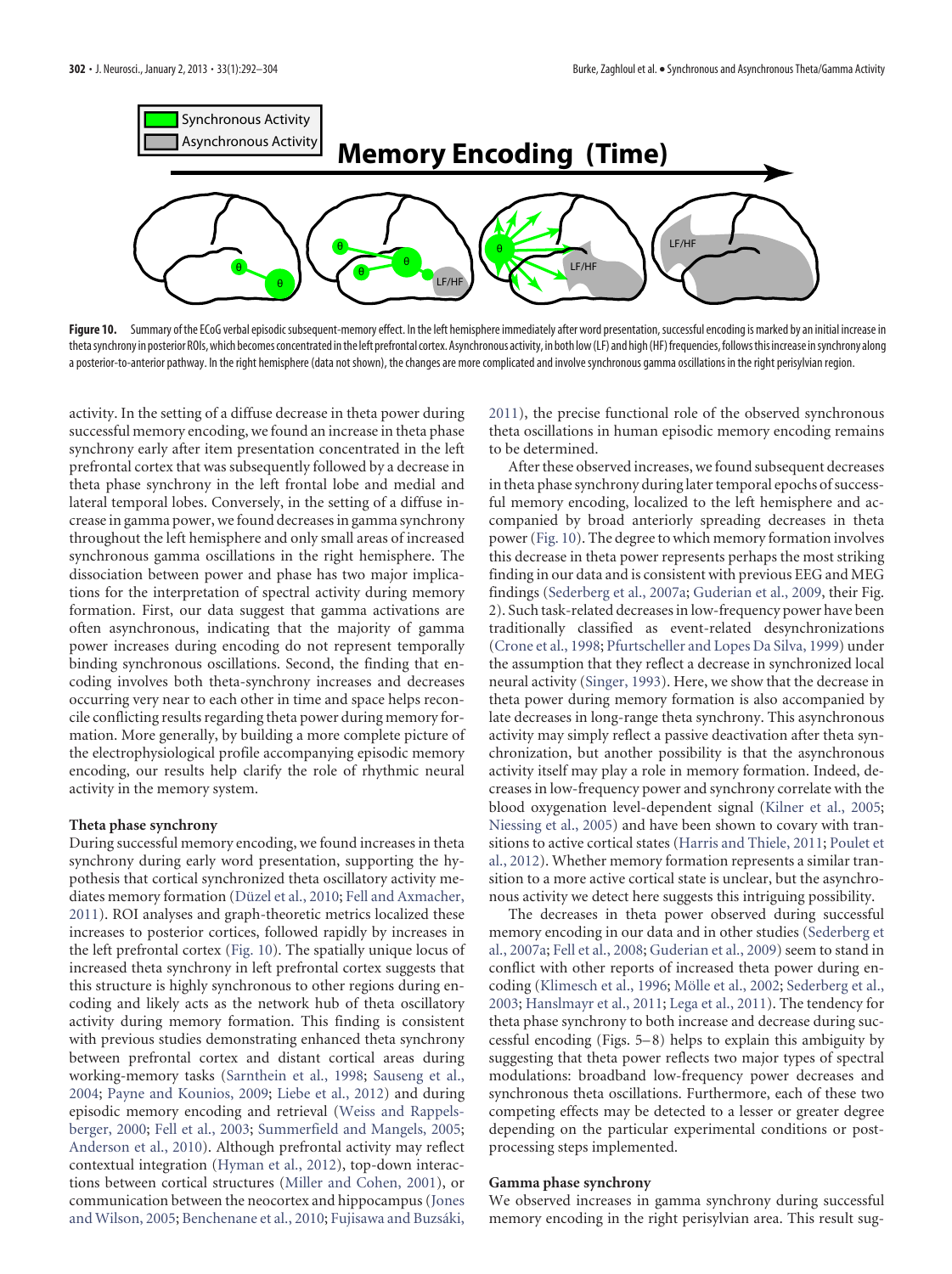

<span id="page-10-0"></span>Figure 10. Summary of the ECoG verbal episodic subsequent-memory effect. In the left hemisphere immediately after word presentation, successful encoding is marked by an initial increase in thetasynchrony in posterior ROIs,which becomes concentrated inthe left prefrontal cortex.Asynchronous activity, in both low(LF) and high(HF)frequencies,followsthis increase insynchrony along a posterior-to-anterior pathway. In the right hemisphere (data not shown), the changes are more complicated and involve synchronous gamma oscillations in the right perisylvian region.

activity. In the setting of a diffuse decrease in theta power during successful memory encoding, we found an increase in theta phase synchrony early after item presentation concentrated in the left prefrontal cortex that was subsequently followed by a decrease in theta phase synchrony in the left frontal lobe and medial and lateral temporal lobes. Conversely, in the setting of a diffuse increase in gamma power, we found decreases in gamma synchrony throughout the left hemisphere and only small areas of increased synchronous gamma oscillations in the right hemisphere. The dissociation between power and phase has two major implications for the interpretation of spectral activity during memory formation. First, our data suggest that gamma activations are often asynchronous, indicating that the majority of gamma power increases during encoding do not represent temporally binding synchronous oscillations. Second, the finding that encoding involves both theta-synchrony increases and decreases occurring very near to each other in time and space helps reconcile conflicting results regarding theta power during memory formation. More generally, by building a more complete picture of the electrophysiological profile accompanying episodic memory encoding, our results help clarify the role of rhythmic neural activity in the memory system.

## **Theta phase synchrony**

During successful memory encoding, we found increases in theta synchrony during early word presentation, supporting the hypothesis that cortical synchronized theta oscillatory activity me-diates memory formation (Düzel et al., 2010; [Fell and Axmacher,](#page-11-1) [2011\)](#page-11-1). ROI analyses and graph-theoretic metrics localized these increases to posterior cortices, followed rapidly by increases in the left prefrontal cortex [\(Fig. 10\)](#page-10-0). The spatially unique locus of increased theta synchrony in left prefrontal cortex suggests that this structure is highly synchronous to other regions during encoding and likely acts as the network hub of theta oscillatory activity during memory formation. This finding is consistent with previous studies demonstrating enhanced theta synchrony between prefrontal cortex and distant cortical areas during working-memory tasks [\(Sarnthein et al., 1998;](#page-12-27) [Sauseng et al.,](#page-12-28) [2004;](#page-12-28) [Payne and Kounios, 2009;](#page-12-29) [Liebe et al., 2012\)](#page-12-30) and during episodic memory encoding and retrieval [\(Weiss and Rappels](#page-12-4)[berger, 2000;](#page-12-4) [Fell et al., 2003;](#page-11-10) [Summerfield and Mangels, 2005;](#page-12-5) [Anderson et al., 2010\)](#page-11-6). Although prefrontal activity may reflect contextual integration [\(Hyman et al., 2012\)](#page-11-11), top-down interactions between cortical structures [\(Miller and Cohen, 2001\)](#page-12-31), or communication between the neocortex and hippocampus [\(Jones](#page-12-32) [and Wilson, 2005;](#page-12-32) [Benchenane et al., 2010;](#page-11-12) Fujisawa and Buzsáki,

[2011\)](#page-11-13), the precise functional role of the observed synchronous theta oscillations in human episodic memory encoding remains to be determined.

After these observed increases, we found subsequent decreases in theta phase synchrony during later temporal epochs of successful memory encoding, localized to the left hemisphere and accompanied by broad anteriorly spreading decreases in theta power [\(Fig. 10\)](#page-10-0). The degree to which memory formation involves this decrease in theta power represents perhaps the most striking finding in our data and is consistent with previous EEG and MEG findings [\(Sederberg et al., 2007a;](#page-12-10) [Guderian et al., 2009,](#page-11-4) their Fig. 2). Such task-related decreases in low-frequency power have been traditionally classified as event-related desynchronizations [\(Crone et al., 1998;](#page-11-14) [Pfurtscheller and Lopes Da Silva, 1999\)](#page-12-33) under the assumption that they reflect a decrease in synchronized local neural activity [\(Singer, 1993\)](#page-12-34). Here, we show that the decrease in theta power during memory formation is also accompanied by late decreases in long-range theta synchrony. This asynchronous activity may simply reflect a passive deactivation after theta synchronization, but another possibility is that the asynchronous activity itself may play a role in memory formation. Indeed, decreases in low-frequency power and synchrony correlate with the blood oxygenation level-dependent signal [\(Kilner et al., 2005;](#page-12-35) [Niessing et al., 2005\)](#page-12-36) and have been shown to covary with transitions to active cortical states [\(Harris and Thiele, 2011;](#page-11-15) [Poulet et](#page-12-37) [al., 2012\)](#page-12-37). Whether memory formation represents a similar transition to a more active cortical state is unclear, but the asynchronous activity we detect here suggests this intriguing possibility.

The decreases in theta power observed during successful memory encoding in our data and in other studies [\(Sederberg et](#page-12-10) [al., 2007a;](#page-12-10) [Fell et al., 2008;](#page-11-16) [Guderian et al., 2009\)](#page-11-4) seem to stand in conflict with other reports of increased theta power during en-coding [\(Klimesch et al., 1996;](#page-12-6) Mölle et al., 2002; [Sederberg et al.,](#page-12-8) [2003;](#page-12-8) [Hanslmayr et al., 2011;](#page-11-3) [Lega et al., 2011\)](#page-12-9). The tendency for theta phase synchrony to both increase and decrease during successful encoding (Figs. 5– 8) helps to explain this ambiguity by suggesting that theta power reflects two major types of spectral modulations: broadband low-frequency power decreases and synchronous theta oscillations. Furthermore, each of these two competing effects may be detected to a lesser or greater degree depending on the particular experimental conditions or postprocessing steps implemented.

#### **Gamma phase synchrony**

We observed increases in gamma synchrony during successful memory encoding in the right perisylvian area. This result sug-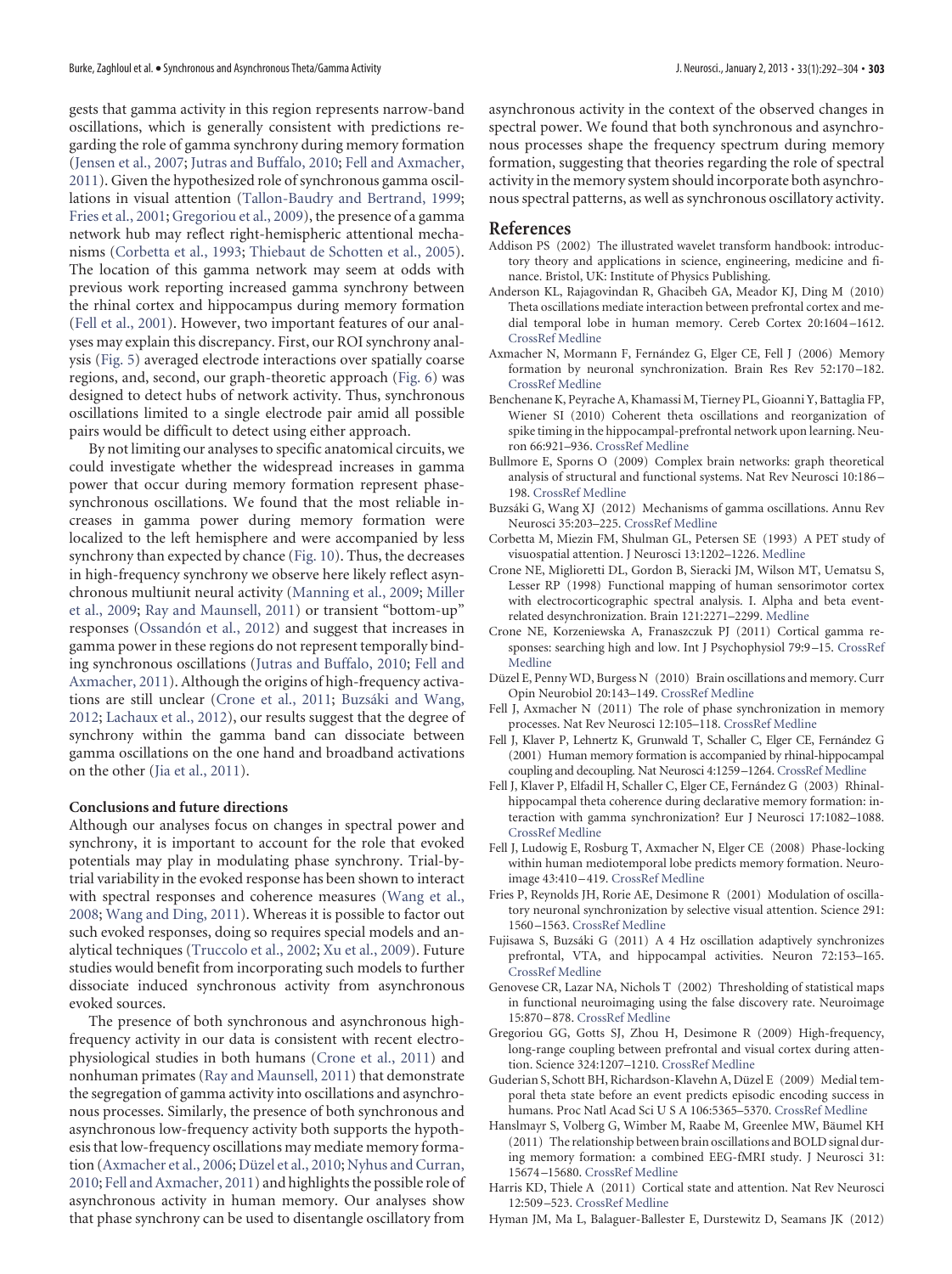gests that gamma activity in this region represents narrow-band oscillations, which is generally consistent with predictions regarding the role of gamma synchrony during memory formation [\(Jensen et al., 2007;](#page-12-2) [Jutras and Buffalo, 2010;](#page-12-3) [Fell and Axmacher,](#page-11-1) [2011\)](#page-11-1). Given the hypothesized role of synchronous gamma oscillations in visual attention [\(Tallon-Baudry and Bertrand, 1999;](#page-12-38) [Fries et al., 2001;](#page-11-17) [Gregoriou et al., 2009\)](#page-11-18), the presence of a gamma network hub may reflect right-hemispheric attentional mechanisms [\(Corbetta et al., 1993;](#page-11-19) [Thiebaut de Schotten et al., 2005\)](#page-12-39). The location of this gamma network may seem at odds with previous work reporting increased gamma synchrony between the rhinal cortex and hippocampus during memory formation [\(Fell et al., 2001\)](#page-11-2). However, two important features of our analyses may explain this discrepancy. First, our ROI synchrony analysis [\(Fig. 5\)](#page-7-0) averaged electrode interactions over spatially coarse regions, and, second, our graph-theoretic approach (Fig. 6) was designed to detect hubs of network activity. Thus, synchronous oscillations limited to a single electrode pair amid all possible pairs would be difficult to detect using either approach.

By not limiting our analyses to specific anatomical circuits, we could investigate whether the widespread increases in gamma power that occur during memory formation represent phasesynchronous oscillations. We found that the most reliable increases in gamma power during memory formation were localized to the left hemisphere and were accompanied by less synchrony than expected by chance [\(Fig. 10\)](#page-10-0). Thus, the decreases in high-frequency synchrony we observe here likely reflect asynchronous multiunit neural activity [\(Manning et al., 2009;](#page-12-13) [Miller](#page-12-14) [et al., 2009;](#page-12-14) [Ray and Maunsell, 2011\)](#page-12-15) or transient "bottom-up" responses (Ossandón et al., 2012) and suggest that increases in gamma power in these regions do not represent temporally binding synchronous oscillations [\(Jutras and Buffalo, 2010;](#page-12-3) [Fell and](#page-11-1) [Axmacher, 2011\)](#page-11-1). Although the origins of high-frequency activa-tions are still unclear [\(Crone et al., 2011;](#page-11-20) Buzsáki and Wang, [2012;](#page-11-21) [Lachaux et al., 2012\)](#page-12-41), our results suggest that the degree of synchrony within the gamma band can dissociate between gamma oscillations on the one hand and broadband activations on the other [\(Jia et al., 2011\)](#page-12-42).

## **Conclusions and future directions**

Although our analyses focus on changes in spectral power and synchrony, it is important to account for the role that evoked potentials may play in modulating phase synchrony. Trial-bytrial variability in the evoked response has been shown to interact with spectral responses and coherence measures [\(Wang et al.,](#page-12-43) [2008;](#page-12-43) [Wang and Ding, 2011\)](#page-12-44). Whereas it is possible to factor out such evoked responses, doing so requires special models and analytical techniques [\(Truccolo et al., 2002;](#page-12-45) [Xu et al., 2009\)](#page-12-46). Future studies would benefit from incorporating such models to further dissociate induced synchronous activity from asynchronous evoked sources.

The presence of both synchronous and asynchronous highfrequency activity in our data is consistent with recent electrophysiological studies in both humans [\(Crone et al., 2011\)](#page-11-20) and nonhuman primates [\(Ray and Maunsell, 2011\)](#page-12-15) that demonstrate the segregation of gamma activity into oscillations and asynchronous processes. Similarly, the presence of both synchronous and asynchronous low-frequency activity both supports the hypothesis that low-frequency oscillations may mediate memory forma-tion [\(Axmacher et al., 2006;](#page-11-0) Düzel et al., 2010; [Nyhus and Curran,](#page-12-1) [2010;](#page-12-1) [Fell and Axmacher, 2011\)](#page-11-1) and highlights the possible role of asynchronous activity in human memory. Our analyses show that phase synchrony can be used to disentangle oscillatory from

asynchronous activity in the context of the observed changes in spectral power. We found that both synchronous and asynchronous processes shape the frequency spectrum during memory formation, suggesting that theories regarding the role of spectral activity in the memory system should incorporate both asynchronous spectral patterns, as well as synchronous oscillatory activity.

## **References**

- <span id="page-11-7"></span>Addison PS (2002) The illustrated wavelet transform handbook: introductory theory and applications in science, engineering, medicine and finance. Bristol, UK: Institute of Physics Publishing.
- <span id="page-11-6"></span>Anderson KL, Rajagovindan R, Ghacibeh GA, Meador KJ, Ding M (2010) Theta oscillations mediate interaction between prefrontal cortex and medial temporal lobe in human memory. Cereb Cortex 20:1604 –1612. [CrossRef](http://dx.doi.org/10.1093/cercor/bhp223) [Medline](http://www.ncbi.nlm.nih.gov/pubmed/19861635)
- <span id="page-11-0"></span>Axmacher N, Mormann F, Fernández G, Elger CE, Fell J (2006) Memory formation by neuronal synchronization. Brain Res Rev 52:170 –182. [CrossRef](http://dx.doi.org/10.1016/j.brainresrev.2006.01.007) [Medline](http://www.ncbi.nlm.nih.gov/pubmed/16545463)
- <span id="page-11-12"></span>Benchenane K, Peyrache A, Khamassi M, Tierney PL, Gioanni Y, Battaglia FP, Wiener SI (2010) Coherent theta oscillations and reorganization of spike timing in the hippocampal-prefrontal network upon learning. Neuron 66:921–936. [CrossRef](http://dx.doi.org/10.1016/j.neuron.2010.05.013) [Medline](http://www.ncbi.nlm.nih.gov/pubmed/20620877)
- <span id="page-11-5"></span>Bullmore E, Sporns O (2009) Complex brain networks: graph theoretical analysis of structural and functional systems. Nat Rev Neurosci 10:186 – 198. [CrossRef](http://dx.doi.org/10.1038/nrn2575) [Medline](http://www.ncbi.nlm.nih.gov/pubmed/19190637)
- <span id="page-11-21"></span>Buzsáki G, Wang XJ (2012) Mechanisms of gamma oscillations. Annu Rev Neurosci 35:203–225. [CrossRef](http://dx.doi.org/10.1146/annurev-neuro-062111-150444) [Medline](http://www.ncbi.nlm.nih.gov/pubmed/22443509)
- <span id="page-11-19"></span>Corbetta M, Miezin FM, Shulman GL, Petersen SE (1993) A PET study of visuospatial attention. J Neurosci 13:1202–1226. [Medline](http://www.ncbi.nlm.nih.gov/pubmed/8441008)
- <span id="page-11-14"></span>Crone NE, Miglioretti DL, Gordon B, Sieracki JM, Wilson MT, Uematsu S, Lesser RP (1998) Functional mapping of human sensorimotor cortex with electrocorticographic spectral analysis. I. Alpha and beta eventrelated desynchronization. Brain 121:2271–2299. [Medline](http://www.ncbi.nlm.nih.gov/pubmed/9874480)
- <span id="page-11-20"></span>Crone NE, Korzeniewska A, Franaszczuk PJ (2011) Cortical gamma responses: searching high and low. Int J Psychophysiol 79:9 –15. [CrossRef](http://dx.doi.org/10.1016/j.ijpsycho.2010.10.013) [Medline](http://www.ncbi.nlm.nih.gov/pubmed/21081143)
- <span id="page-11-9"></span>Düzel E, Penny WD, Burgess N (2010) Brain oscillations and memory. Curr Opin Neurobiol 20:143–149. [CrossRef](http://dx.doi.org/10.1016/j.conb.2010.01.004) [Medline](http://www.ncbi.nlm.nih.gov/pubmed/20181475)
- <span id="page-11-1"></span>Fell J, Axmacher N (2011) The role of phase synchronization in memory processes. Nat Rev Neurosci 12:105–118. [CrossRef](http://dx.doi.org/10.1038/nrn2979) [Medline](http://www.ncbi.nlm.nih.gov/pubmed/21248789)
- <span id="page-11-2"></span>Fell J, Klaver P, Lehnertz K, Grunwald T, Schaller C, Elger CE, Fernández G (2001) Human memory formation is accompanied by rhinal-hippocampal coupling and decoupling. Nat Neurosci 4:1259 –1264. [CrossRef](http://dx.doi.org/10.1038/nn759) [Medline](http://www.ncbi.nlm.nih.gov/pubmed/11694886)
- <span id="page-11-10"></span>Fell J, Klaver P, Elfadil H, Schaller C, Elger CE, Fernández G (2003) Rhinalhippocampal theta coherence during declarative memory formation: interaction with gamma synchronization? Eur J Neurosci 17:1082–1088. [CrossRef](http://dx.doi.org/10.1046/j.1460-9568.2003.02522.x) [Medline](http://www.ncbi.nlm.nih.gov/pubmed/12653984)
- <span id="page-11-16"></span>Fell J, Ludowig E, Rosburg T, Axmacher N, Elger CE (2008) Phase-locking within human mediotemporal lobe predicts memory formation. Neuro-image 43:410-419. [CrossRef](http://dx.doi.org/10.1016/j.neuroimage.2008.07.021) [Medline](http://www.ncbi.nlm.nih.gov/pubmed/18703147)
- <span id="page-11-17"></span>Fries P, Reynolds JH, Rorie AE, Desimone R (2001) Modulation of oscillatory neuronal synchronization by selective visual attention. Science 291: 1560 –1563. [CrossRef](http://dx.doi.org/10.1126/science.1055465) [Medline](http://www.ncbi.nlm.nih.gov/pubmed/11222864)
- <span id="page-11-13"></span>Fujisawa S, Buzsáki G (2011) A 4 Hz oscillation adaptively synchronizes prefrontal, VTA, and hippocampal activities. Neuron 72:153–165. [CrossRef](http://dx.doi.org/10.1016/j.neuron.2011.08.018) [Medline](http://www.ncbi.nlm.nih.gov/pubmed/21982376)
- <span id="page-11-8"></span>Genovese CR, Lazar NA, Nichols T (2002) Thresholding of statistical maps in functional neuroimaging using the false discovery rate. Neuroimage 15:870 – 878. [CrossRef](http://dx.doi.org/10.1006/nimg.2001.1037) [Medline](http://www.ncbi.nlm.nih.gov/pubmed/11906227)
- <span id="page-11-18"></span>Gregoriou GG, Gotts SJ, Zhou H, Desimone R (2009) High-frequency, long-range coupling between prefrontal and visual cortex during attention. Science 324:1207–1210. [CrossRef](http://dx.doi.org/10.1126/science.1171402) [Medline](http://www.ncbi.nlm.nih.gov/pubmed/19478185)
- <span id="page-11-4"></span>Guderian S, Schott BH, Richardson-Klavehn A, Düzel E (2009) Medial temporal theta state before an event predicts episodic encoding success in humans. Proc Natl Acad Sci U S A 106:5365–5370. [CrossRef](http://dx.doi.org/10.1073/pnas.0900289106) [Medline](http://www.ncbi.nlm.nih.gov/pubmed/19289818)
- <span id="page-11-3"></span>Hanslmayr S, Volberg G, Wimber M, Raabe M, Greenlee MW, Bäumel KH (2011) The relationship between brain oscillations and BOLD signal during memory formation: a combined EEG-fMRI study. J Neurosci 31: 15674 –15680. [CrossRef](http://dx.doi.org/10.1523/JNEUROSCI.3140-11.2011) [Medline](http://www.ncbi.nlm.nih.gov/pubmed/22049410)
- <span id="page-11-15"></span>Harris KD, Thiele A (2011) Cortical state and attention. Nat Rev Neurosci 12:509 –523. [CrossRef](http://dx.doi.org/10.1038/nrn3084) [Medline](http://www.ncbi.nlm.nih.gov/pubmed/21829219)
- <span id="page-11-11"></span>Hyman JM, Ma L, Balaguer-Ballester E, Durstewitz D, Seamans JK (2012)